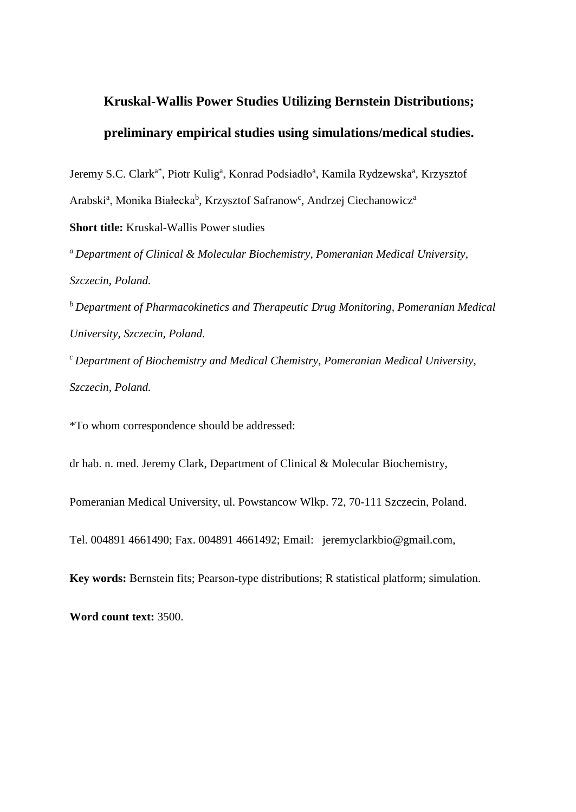# **Kruskal-Wallis Power Studies Utilizing Bernstein Distributions; preliminary empirical studies using simulations/medical studies.**

Jeremy S.C. Clark<sup>a\*</sup>, Piotr Kulig<sup>a</sup>, Konrad Podsiadło<sup>a</sup>, Kamila Rydzewska<sup>a</sup>, Krzysztof Arabski<sup>a</sup>, Monika Białecka<sup>b</sup>, Krzysztof Safranow<sup>c</sup>, Andrzej Ciechanowicz<sup>a</sup>

**Short title:** Kruskal-Wallis Power studies

*<sup>a</sup>Department of Clinical & Molecular Biochemistry, Pomeranian Medical University, Szczecin, Poland.*

*<sup>b</sup>Department of Pharmacokinetics and Therapeutic Drug Monitoring, Pomeranian Medical University, Szczecin, Poland.*

*<sup>c</sup>Department of Biochemistry and Medical Chemistry, Pomeranian Medical University, Szczecin, Poland.*

\*To whom correspondence should be addressed:

dr hab. n. med. Jeremy Clark, Department of Clinical & Molecular Biochemistry,

Pomeranian Medical University, ul. Powstancow Wlkp. 72, 70-111 Szczecin, Poland.

Tel. 004891 4661490; Fax. 004891 4661492; Email: jeremyclarkbio@gmail.com,

**Key words:** Bernstein fits; Pearson-type distributions; R statistical platform; simulation.

**Word count text:** 3500.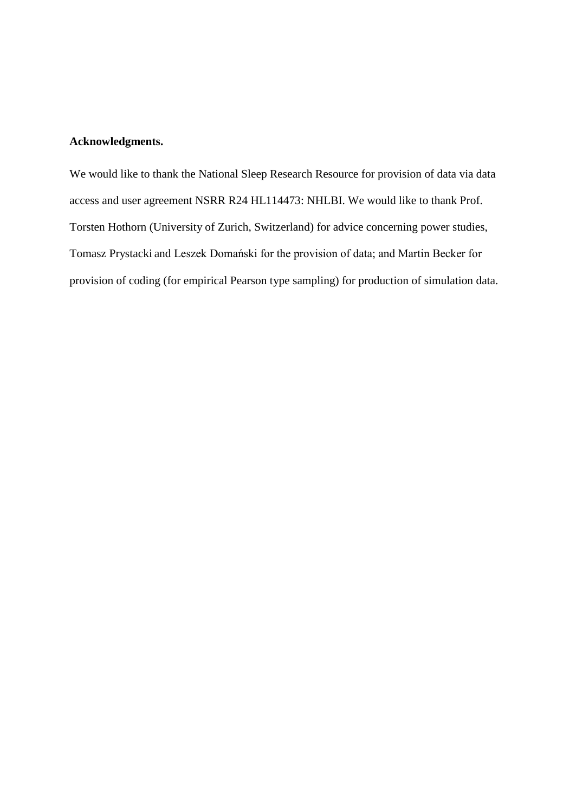# **Acknowledgments.**

We would like to thank the National Sleep Research Resource for provision of data via data access and user agreement NSRR R24 HL114473: NHLBI. We would like to thank Prof. Torsten Hothorn (University of Zurich, Switzerland) for advice concerning power studies, Tomasz Prystacki and Leszek Domański for the provision of data; and Martin Becker for provision of coding (for empirical Pearson type sampling) for production of simulation data.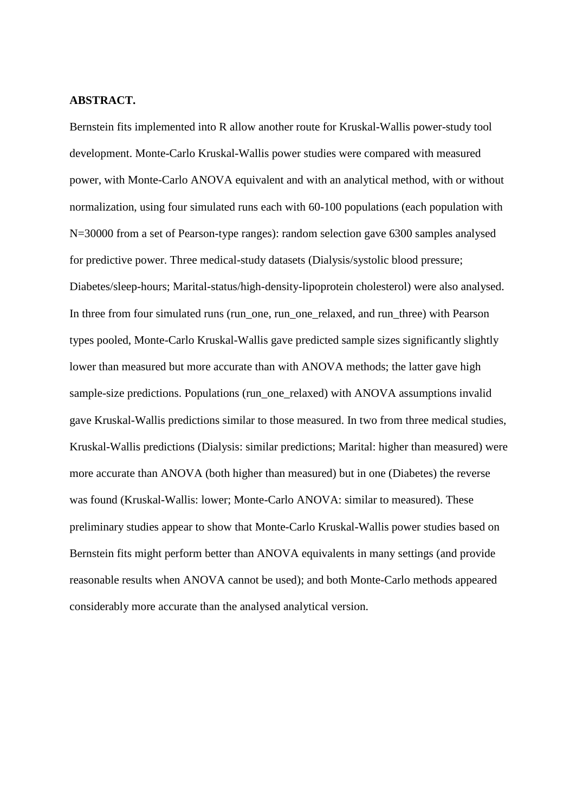### **ABSTRACT.**

Bernstein fits implemented into R allow another route for Kruskal-Wallis power-study tool development. Monte-Carlo Kruskal-Wallis power studies were compared with measured power, with Monte-Carlo ANOVA equivalent and with an analytical method, with or without normalization, using four simulated runs each with 60-100 populations (each population with N=30000 from a set of Pearson-type ranges): random selection gave 6300 samples analysed for predictive power. Three medical-study datasets (Dialysis/systolic blood pressure; Diabetes/sleep-hours; Marital-status/high-density-lipoprotein cholesterol) were also analysed. In three from four simulated runs (run\_one, run\_one\_relaxed, and run\_three) with Pearson types pooled, Monte-Carlo Kruskal-Wallis gave predicted sample sizes significantly slightly lower than measured but more accurate than with ANOVA methods; the latter gave high sample-size predictions. Populations (run\_one\_relaxed) with ANOVA assumptions invalid gave Kruskal-Wallis predictions similar to those measured. In two from three medical studies, Kruskal-Wallis predictions (Dialysis: similar predictions; Marital: higher than measured) were more accurate than ANOVA (both higher than measured) but in one (Diabetes) the reverse was found (Kruskal-Wallis: lower; Monte-Carlo ANOVA: similar to measured). These preliminary studies appear to show that Monte-Carlo Kruskal-Wallis power studies based on Bernstein fits might perform better than ANOVA equivalents in many settings (and provide reasonable results when ANOVA cannot be used); and both Monte-Carlo methods appeared considerably more accurate than the analysed analytical version.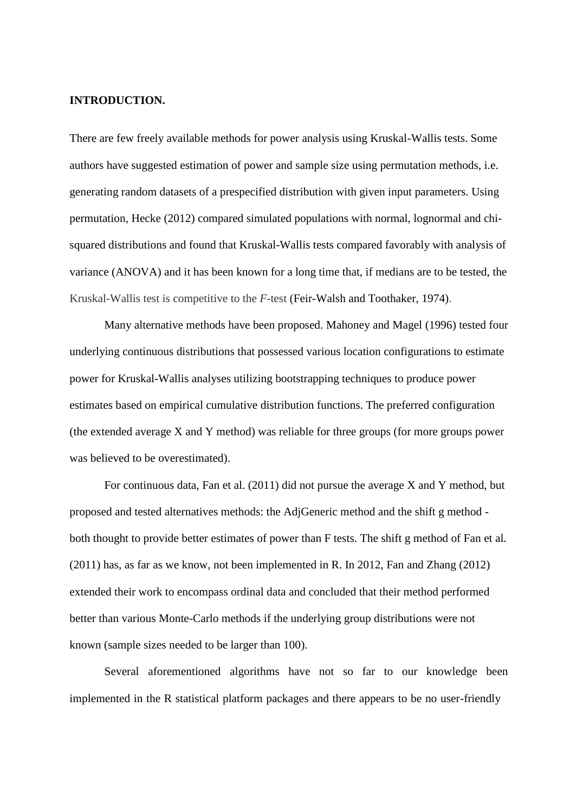## **INTRODUCTION.**

There are few freely available methods for power analysis using Kruskal-Wallis tests. Some authors have suggested estimation of power and sample size using permutation methods, i.e. generating random datasets of a prespecified distribution with given input parameters. Using permutation, Hecke (2012) compared simulated populations with normal, lognormal and chisquared distributions and found that Kruskal-Wallis tests compared favorably with analysis of variance (ANOVA) and it has been known for a long time that, if medians are to be tested, the Kruskal-Wallis test is competitive to the *F*-test (Feir-Walsh and Toothaker, 1974).

Many alternative methods have been proposed. Mahoney and Magel (1996) tested four underlying continuous distributions that possessed various location configurations to estimate power for Kruskal-Wallis analyses utilizing bootstrapping techniques to produce power estimates based on empirical cumulative distribution functions. The preferred configuration (the extended average X and Y method) was reliable for three groups (for more groups power was believed to be overestimated).

For continuous data, Fan et al. (2011) did not pursue the average X and Y method, but proposed and tested alternatives methods: the AdjGeneric method and the shift g method both thought to provide better estimates of power than F tests. The shift g method of Fan et al. (2011) has, as far as we know, not been implemented in R. In 2012, Fan and Zhang (2012) extended their work to encompass ordinal data and concluded that their method performed better than various Monte-Carlo methods if the underlying group distributions were not known (sample sizes needed to be larger than 100).

Several aforementioned algorithms have not so far to our knowledge been implemented in the R statistical platform packages and there appears to be no user-friendly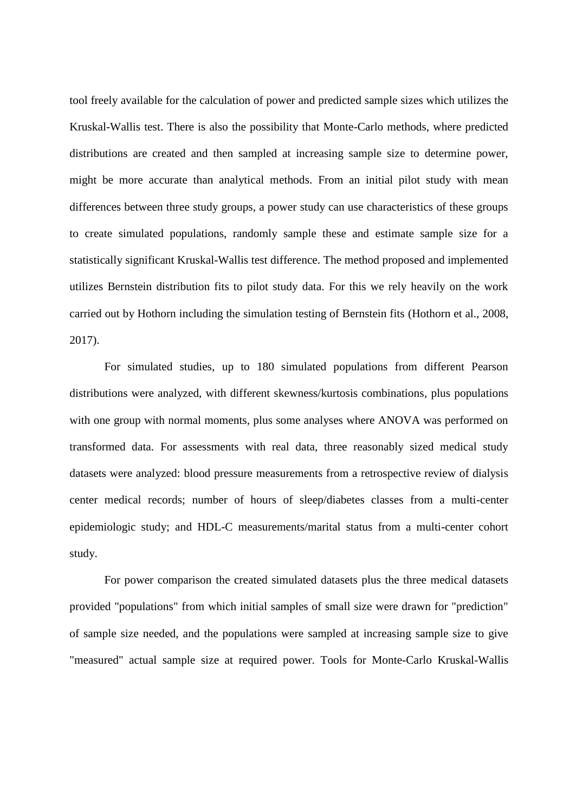tool freely available for the calculation of power and predicted sample sizes which utilizes the Kruskal-Wallis test. There is also the possibility that Monte-Carlo methods, where predicted distributions are created and then sampled at increasing sample size to determine power, might be more accurate than analytical methods. From an initial pilot study with mean differences between three study groups, a power study can use characteristics of these groups to create simulated populations, randomly sample these and estimate sample size for a statistically significant Kruskal-Wallis test difference. The method proposed and implemented utilizes Bernstein distribution fits to pilot study data. For this we rely heavily on the work carried out by Hothorn including the simulation testing of Bernstein fits (Hothorn et al., 2008, 2017).

For simulated studies, up to 180 simulated populations from different Pearson distributions were analyzed, with different skewness/kurtosis combinations, plus populations with one group with normal moments, plus some analyses where ANOVA was performed on transformed data. For assessments with real data, three reasonably sized medical study datasets were analyzed: blood pressure measurements from a retrospective review of dialysis center medical records; number of hours of sleep/diabetes classes from a multi-center epidemiologic study; and HDL-C measurements/marital status from a multi-center cohort study.

For power comparison the created simulated datasets plus the three medical datasets provided "populations" from which initial samples of small size were drawn for "prediction" of sample size needed, and the populations were sampled at increasing sample size to give "measured" actual sample size at required power. Tools for Monte-Carlo Kruskal-Wallis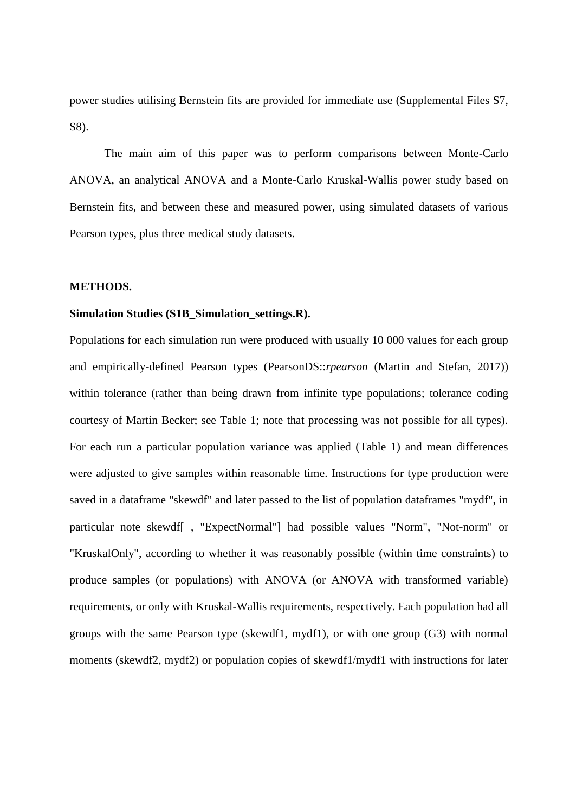power studies utilising Bernstein fits are provided for immediate use (Supplemental Files S7, S8).

The main aim of this paper was to perform comparisons between Monte-Carlo ANOVA, an analytical ANOVA and a Monte-Carlo Kruskal-Wallis power study based on Bernstein fits, and between these and measured power, using simulated datasets of various Pearson types, plus three medical study datasets.

## **METHODS.**

#### **Simulation Studies (S1B\_Simulation\_settings.R).**

Populations for each simulation run were produced with usually 10 000 values for each group and empirically-defined Pearson types (PearsonDS::*rpearson* (Martin and Stefan, 2017)) within tolerance (rather than being drawn from infinite type populations; tolerance coding courtesy of Martin Becker; see Table 1; note that processing was not possible for all types). For each run a particular population variance was applied (Table 1) and mean differences were adjusted to give samples within reasonable time. Instructions for type production were saved in a dataframe "skewdf" and later passed to the list of population dataframes "mydf", in particular note skewdf[ , "ExpectNormal"] had possible values "Norm", "Not-norm" or "KruskalOnly", according to whether it was reasonably possible (within time constraints) to produce samples (or populations) with ANOVA (or ANOVA with transformed variable) requirements, or only with Kruskal-Wallis requirements, respectively. Each population had all groups with the same Pearson type (skewdf1, mydf1), or with one group (G3) with normal moments (skewdf2, mydf2) or population copies of skewdf1/mydf1 with instructions for later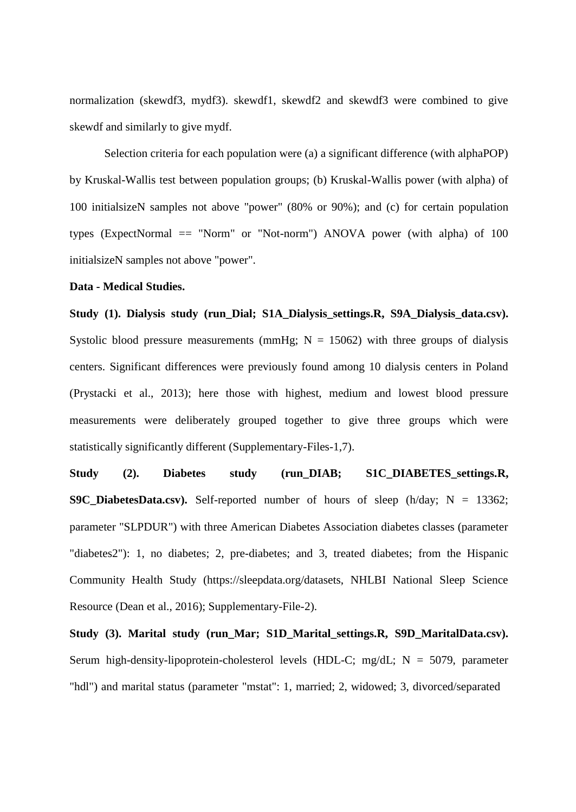normalization (skewdf3, mydf3). skewdf1, skewdf2 and skewdf3 were combined to give skewdf and similarly to give mydf.

Selection criteria for each population were (a) a significant difference (with alphaPOP) by Kruskal-Wallis test between population groups; (b) Kruskal-Wallis power (with alpha) of 100 initialsizeN samples not above "power" (80% or 90%); and (c) for certain population types (ExpectNormal  $=$  "Norm" or "Not-norm") ANOVA power (with alpha) of 100 initialsizeN samples not above "power".

## **Data - Medical Studies.**

Study (1). Dialysis study (run Dial; S1A Dialysis settings.R, S9A Dialysis data.csv). Systolic blood pressure measurements (mmHg;  $N = 15062$ ) with three groups of dialysis centers. Significant differences were previously found among 10 dialysis centers in Poland (Prystacki et al., 2013); here those with highest, medium and lowest blood pressure measurements were deliberately grouped together to give three groups which were statistically significantly different (Supplementary-Files-1,7).

**Study (2). Diabetes study (run\_DIAB; S1C\_DIABETES\_settings.R, S9C\_DiabetesData.csv).** Self-reported number of hours of sleep (h/day;  $N = 13362$ ; parameter "SLPDUR") with three American Diabetes Association diabetes classes (parameter "diabetes2"): 1, no diabetes; 2, pre-diabetes; and 3, treated diabetes; from the Hispanic Community Health Study (https://sleepdata.org/datasets, NHLBI National Sleep Science Resource (Dean et al., 2016); Supplementary-File-2).

**Study (3). Marital study (run\_Mar; S1D\_Marital\_settings.R, S9D\_MaritalData.csv).**  Serum high-density-lipoprotein-cholesterol levels (HDL-C; mg/dL;  $N = 5079$ , parameter "hdl") and marital status (parameter "mstat": 1, married; 2, widowed; 3, divorced/separated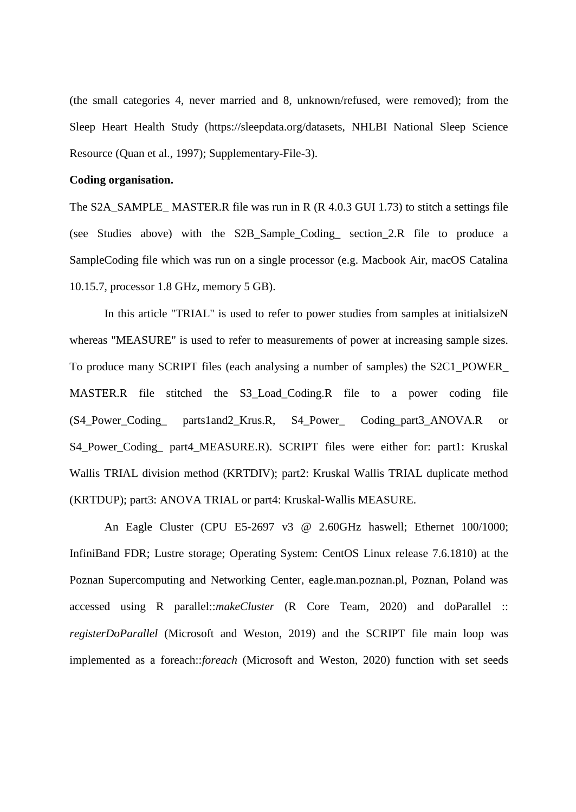(the small categories 4, never married and 8, unknown/refused, were removed); from the Sleep Heart Health Study (https://sleepdata.org/datasets, NHLBI National Sleep Science Resource (Quan et al., 1997); Supplementary-File-3).

## **Coding organisation.**

The S2A\_SAMPLE\_ MASTER.R file was run in R (R 4.0.3 GUI 1.73) to stitch a settings file (see Studies above) with the S2B\_Sample\_Coding\_ section\_2.R file to produce a SampleCoding file which was run on a single processor (e.g. Macbook Air, macOS Catalina 10.15.7, processor 1.8 GHz, memory 5 GB).

In this article "TRIAL" is used to refer to power studies from samples at initialsizeN whereas "MEASURE" is used to refer to measurements of power at increasing sample sizes. To produce many SCRIPT files (each analysing a number of samples) the S2C1\_POWER\_ MASTER.R file stitched the S3\_Load\_Coding.R file to a power coding file (S4\_Power\_Coding\_ parts1and2\_Krus.R, S4\_Power\_ Coding\_part3\_ANOVA.R or S4 Power Coding part4 MEASURE.R). SCRIPT files were either for: part1: Kruskal Wallis TRIAL division method (KRTDIV); part2: Kruskal Wallis TRIAL duplicate method (KRTDUP); part3: ANOVA TRIAL or part4: Kruskal-Wallis MEASURE.

An Eagle Cluster (CPU E5-2697 v3 @ 2.60GHz haswell; Ethernet 100/1000; InfiniBand FDR; Lustre storage; Operating System: CentOS Linux release 7.6.1810) at the Poznan Supercomputing and Networking Center, eagle.man.poznan.pl, Poznan, Poland was accessed using R parallel::*makeCluster* (R Core Team, 2020) and doParallel :: *registerDoParallel* (Microsoft and Weston, 2019) and the SCRIPT file main loop was implemented as a foreach::*foreach* (Microsoft and Weston, 2020) function with set seeds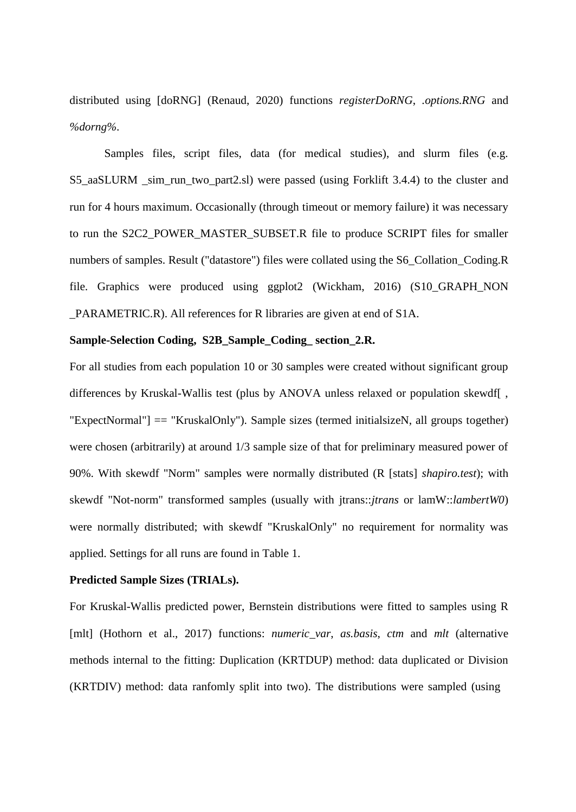distributed using [doRNG] (Renaud, 2020) functions *registerDoRNG*, *.options.RNG* and *%dorng%*.

Samples files, script files, data (for medical studies), and slurm files (e.g. S5\_aaSLURM \_sim\_run\_two\_part2.sl) were passed (using Forklift 3.4.4) to the cluster and run for 4 hours maximum. Occasionally (through timeout or memory failure) it was necessary to run the S2C2\_POWER\_MASTER\_SUBSET.R file to produce SCRIPT files for smaller numbers of samples. Result ("datastore") files were collated using the S6\_Collation\_Coding.R file. Graphics were produced using ggplot2 (Wickham, 2016) (S10\_GRAPH\_NON \_PARAMETRIC.R). All references for R libraries are given at end of S1A.

## **Sample-Selection Coding, S2B\_Sample\_Coding\_ section\_2.R.**

For all studies from each population 10 or 30 samples were created without significant group differences by Kruskal-Wallis test (plus by ANOVA unless relaxed or population skewdf[ , "ExpectNormal"] == "KruskalOnly"). Sample sizes (termed initialsizeN, all groups together) were chosen (arbitrarily) at around 1/3 sample size of that for preliminary measured power of 90%. With skewdf "Norm" samples were normally distributed (R [stats] *shapiro.test*); with skewdf "Not-norm" transformed samples (usually with jtrans::*jtrans* or lamW::*lambertW0*) were normally distributed; with skewdf "KruskalOnly" no requirement for normality was applied. Settings for all runs are found in Table 1.

## **Predicted Sample Sizes (TRIALs).**

For Kruskal-Wallis predicted power, Bernstein distributions were fitted to samples using R [mlt] (Hothorn et al., 2017) functions: *numeric\_var*, *as.basis*, *ctm* and *mlt* (alternative methods internal to the fitting: Duplication (KRTDUP) method: data duplicated or Division (KRTDIV) method: data ranfomly split into two). The distributions were sampled (using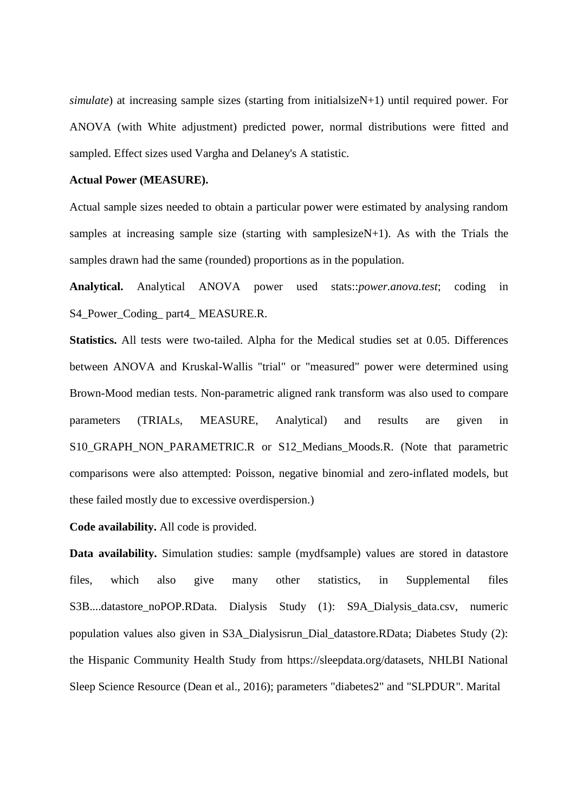*simulate*) at increasing sample sizes (starting from initialsizeN+1) until required power. For ANOVA (with White adjustment) predicted power, normal distributions were fitted and sampled. Effect sizes used Vargha and Delaney's A statistic.

#### **Actual Power (MEASURE).**

Actual sample sizes needed to obtain a particular power were estimated by analysing random samples at increasing sample size (starting with samplesizeN+1). As with the Trials the samples drawn had the same (rounded) proportions as in the population.

**Analytical.** Analytical ANOVA power used stats::*power.anova.test*; coding in S4\_Power\_Coding\_part4\_MEASURE.R.

**Statistics.** All tests were two-tailed. Alpha for the Medical studies set at 0.05. Differences between ANOVA and Kruskal-Wallis "trial" or "measured" power were determined using Brown-Mood median tests. Non-parametric aligned rank transform was also used to compare parameters (TRIALs, MEASURE, Analytical) and results are given in S10\_GRAPH\_NON\_PARAMETRIC.R or S12\_Medians\_Moods.R. (Note that parametric comparisons were also attempted: Poisson, negative binomial and zero-inflated models, but these failed mostly due to excessive overdispersion.)

**Code availability.** All code is provided.

**Data availability.** Simulation studies: sample (mydfsample) values are stored in datastore files, which also give many other statistics, in Supplemental files S3B....datastore\_noPOP.RData. Dialysis Study (1): S9A\_Dialysis\_data.csv, numeric population values also given in S3A\_Dialysisrun\_Dial\_datastore.RData; Diabetes Study (2): the Hispanic Community Health Study from https://sleepdata.org/datasets, NHLBI National Sleep Science Resource (Dean et al., 2016); parameters "diabetes2" and "SLPDUR". Marital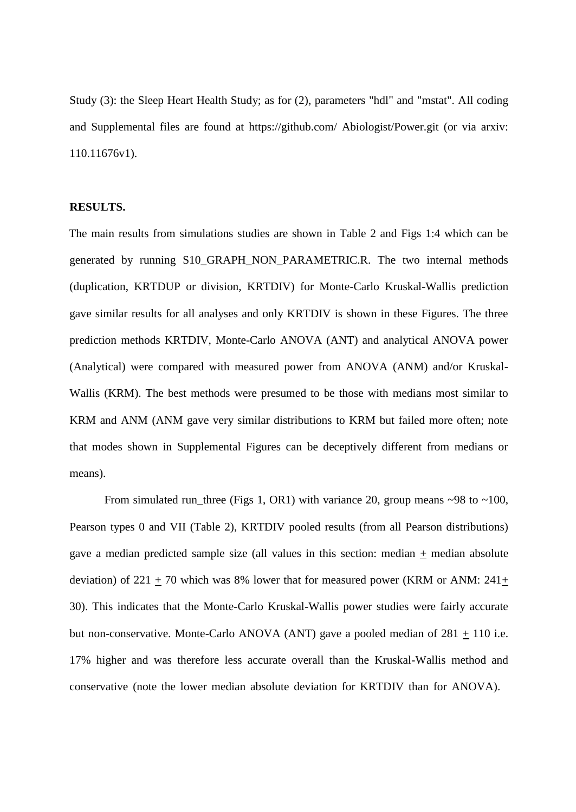Study (3): the Sleep Heart Health Study; as for (2), parameters "hdl" and "mstat". All coding and Supplemental files are found at https://github.com/ Abiologist/Power.git (or via arxiv: 110.11676v1).

#### **RESULTS.**

The main results from simulations studies are shown in Table 2 and Figs 1:4 which can be generated by running S10\_GRAPH\_NON\_PARAMETRIC.R. The two internal methods (duplication, KRTDUP or division, KRTDIV) for Monte-Carlo Kruskal-Wallis prediction gave similar results for all analyses and only KRTDIV is shown in these Figures. The three prediction methods KRTDIV, Monte-Carlo ANOVA (ANT) and analytical ANOVA power (Analytical) were compared with measured power from ANOVA (ANM) and/or Kruskal-Wallis (KRM). The best methods were presumed to be those with medians most similar to KRM and ANM (ANM gave very similar distributions to KRM but failed more often; note that modes shown in Supplemental Figures can be deceptively different from medians or means).

From simulated run\_three (Figs 1, OR1) with variance 20, group means  $\sim$ 98 to  $\sim$ 100, Pearson types 0 and VII (Table 2), KRTDIV pooled results (from all Pearson distributions) gave a median predicted sample size (all values in this section: median + median absolute deviation) of 221  $\pm$  70 which was 8% lower that for measured power (KRM or ANM: 241 $\pm$ 30). This indicates that the Monte-Carlo Kruskal-Wallis power studies were fairly accurate but non-conservative. Monte-Carlo ANOVA (ANT) gave a pooled median of  $281 + 110$  i.e. 17% higher and was therefore less accurate overall than the Kruskal-Wallis method and conservative (note the lower median absolute deviation for KRTDIV than for ANOVA).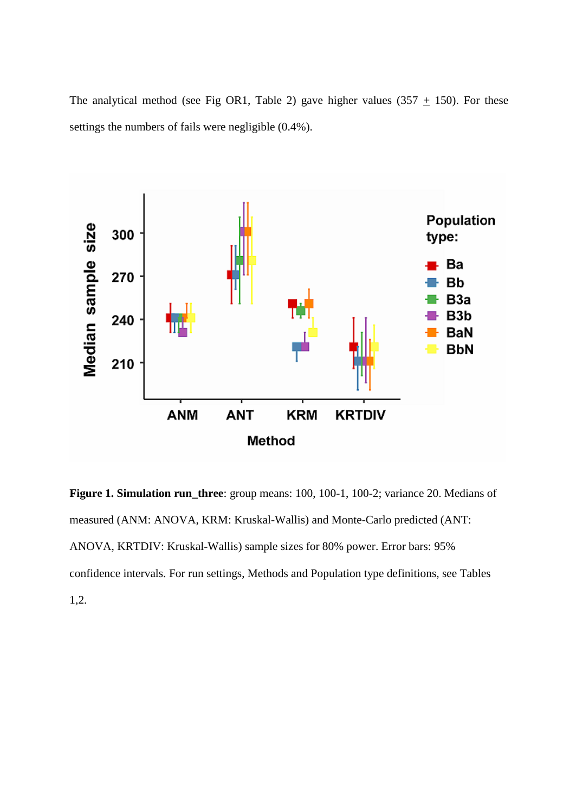The analytical method (see Fig OR1, Table 2) gave higher values (357  $\pm$  150). For these settings the numbers of fails were negligible (0.4%).



**Figure 1. Simulation run\_three**: group means: 100, 100-1, 100-2; variance 20. Medians of measured (ANM: ANOVA, KRM: Kruskal-Wallis) and Monte-Carlo predicted (ANT: ANOVA, KRTDIV: Kruskal-Wallis) sample sizes for 80% power. Error bars: 95% confidence intervals. For run settings, Methods and Population type definitions, see Tables 1,2.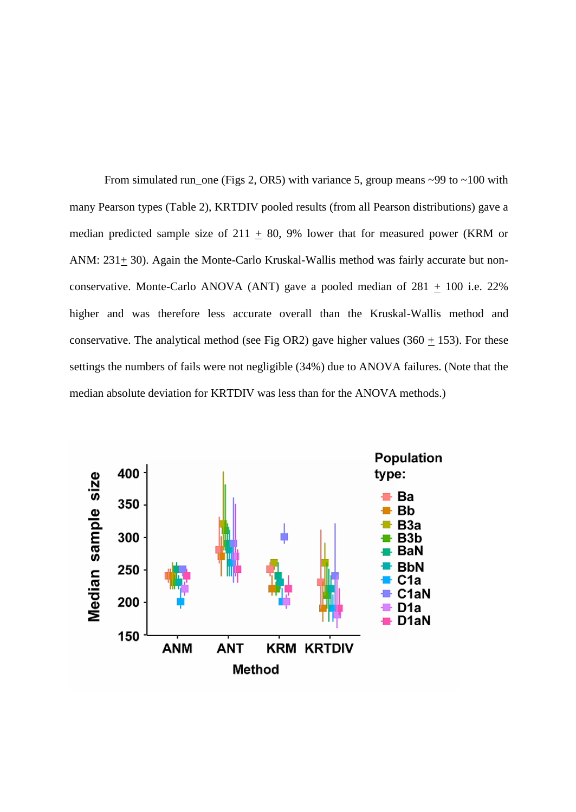From simulated run\_one (Figs 2, OR5) with variance 5, group means  $\sim$ 99 to  $\sim$ 100 with many Pearson types (Table 2), KRTDIV pooled results (from all Pearson distributions) gave a median predicted sample size of  $211 + 80$ , 9% lower that for measured power (KRM or ANM: 231+ 30). Again the Monte-Carlo Kruskal-Wallis method was fairly accurate but nonconservative. Monte-Carlo ANOVA (ANT) gave a pooled median of  $281 \pm 100$  i.e. 22% higher and was therefore less accurate overall than the Kruskal-Wallis method and conservative. The analytical method (see Fig OR2) gave higher values (360  $\pm$  153). For these settings the numbers of fails were not negligible (34%) due to ANOVA failures. (Note that the median absolute deviation for KRTDIV was less than for the ANOVA methods.)

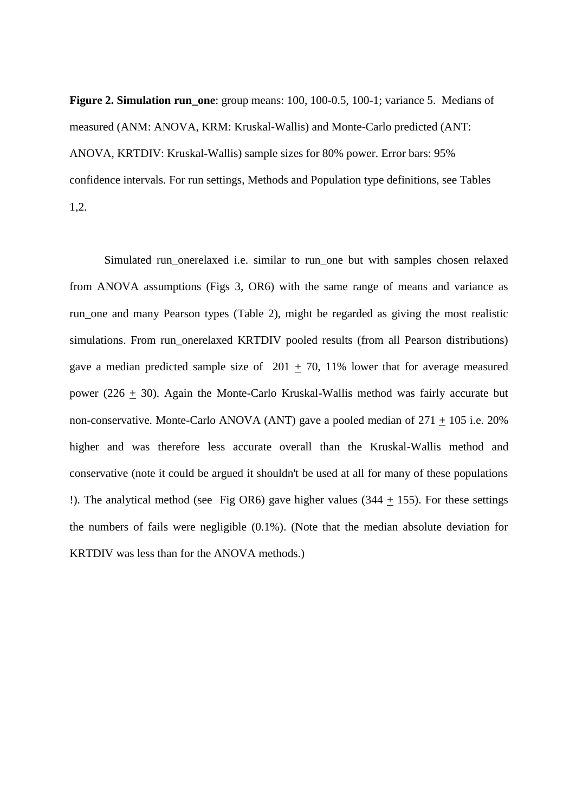**Figure 2. Simulation run\_one**: group means: 100, 100-0.5, 100-1; variance 5. Medians of measured (ANM: ANOVA, KRM: Kruskal-Wallis) and Monte-Carlo predicted (ANT: ANOVA, KRTDIV: Kruskal-Wallis) sample sizes for 80% power. Error bars: 95% confidence intervals. For run settings, Methods and Population type definitions, see Tables 1,2.

Simulated run\_onerelaxed i.e. similar to run\_one but with samples chosen relaxed from ANOVA assumptions (Figs 3, OR6) with the same range of means and variance as run\_one and many Pearson types (Table 2), might be regarded as giving the most realistic simulations. From run\_onerelaxed KRTDIV pooled results (from all Pearson distributions) gave a median predicted sample size of 201  $\pm$  70, 11% lower that for average measured power (226 + 30). Again the Monte-Carlo Kruskal-Wallis method was fairly accurate but non-conservative. Monte-Carlo ANOVA (ANT) gave a pooled median of  $271 \pm 105$  i.e. 20% higher and was therefore less accurate overall than the Kruskal-Wallis method and conservative (note it could be argued it shouldn't be used at all for many of these populations !). The analytical method (see Fig OR6) gave higher values (344  $\pm$  155). For these settings the numbers of fails were negligible (0.1%). (Note that the median absolute deviation for KRTDIV was less than for the ANOVA methods.)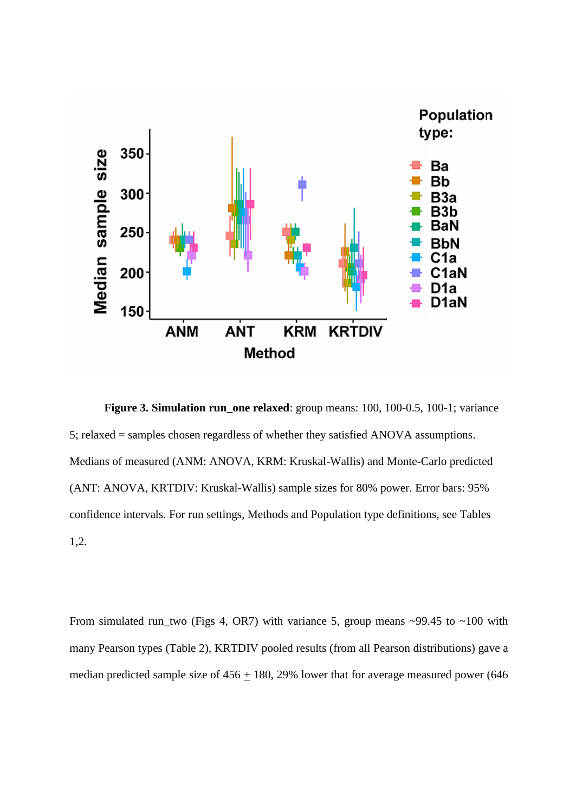

**Figure 3. Simulation run\_one relaxed**: group means: 100, 100-0.5, 100-1; variance 5; relaxed = samples chosen regardless of whether they satisfied ANOVA assumptions. Medians of measured (ANM: ANOVA, KRM: Kruskal-Wallis) and Monte-Carlo predicted (ANT: ANOVA, KRTDIV: Kruskal-Wallis) sample sizes for 80% power. Error bars: 95% confidence intervals. For run settings, Methods and Population type definitions, see Tables 1,2.

From simulated run\_two (Figs 4, OR7) with variance 5, group means  $\sim$ 99.45 to  $\sim$ 100 with many Pearson types (Table 2), KRTDIV pooled results (from all Pearson distributions) gave a median predicted sample size of  $456 + 180$ , 29% lower that for average measured power (646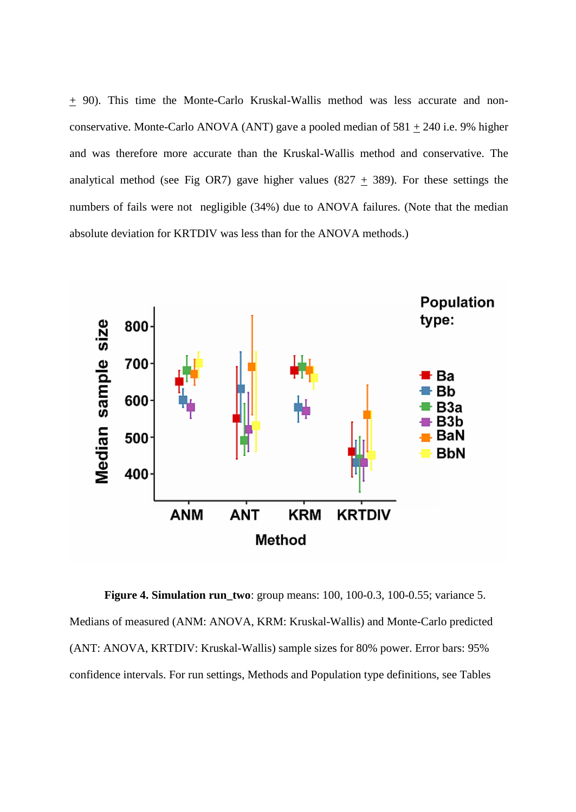+ 90). This time the Monte-Carlo Kruskal-Wallis method was less accurate and nonconservative. Monte-Carlo ANOVA (ANT) gave a pooled median of  $581 \pm 240$  i.e. 9% higher and was therefore more accurate than the Kruskal-Wallis method and conservative. The analytical method (see Fig OR7) gave higher values (827  $\pm$  389). For these settings the numbers of fails were not negligible (34%) due to ANOVA failures. (Note that the median absolute deviation for KRTDIV was less than for the ANOVA methods.)



**Figure 4. Simulation run\_two**: group means: 100, 100-0.3, 100-0.55; variance 5. Medians of measured (ANM: ANOVA, KRM: Kruskal-Wallis) and Monte-Carlo predicted (ANT: ANOVA, KRTDIV: Kruskal-Wallis) sample sizes for 80% power. Error bars: 95% confidence intervals. For run settings, Methods and Population type definitions, see Tables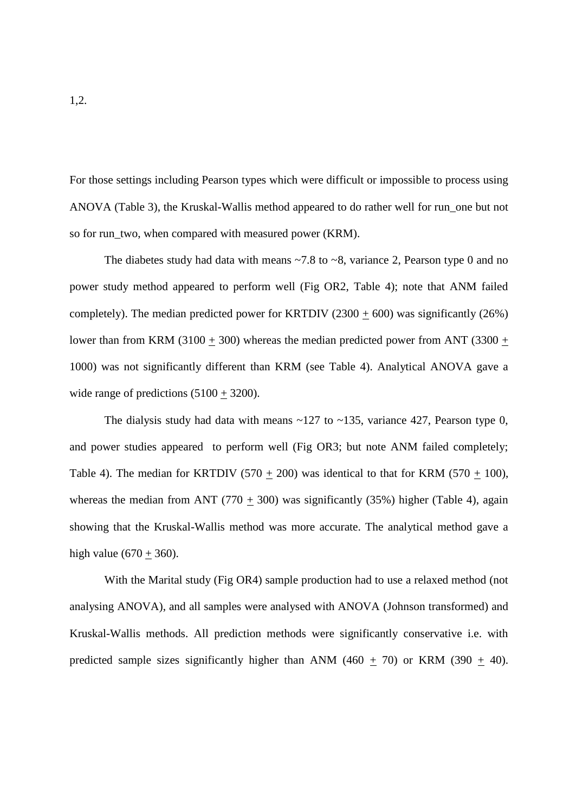For those settings including Pearson types which were difficult or impossible to process using ANOVA (Table 3), the Kruskal-Wallis method appeared to do rather well for run\_one but not so for run\_two, when compared with measured power (KRM).

The diabetes study had data with means  $\sim$  7.8 to  $\sim$  8, variance 2, Pearson type 0 and no power study method appeared to perform well (Fig OR2, Table 4); note that ANM failed completely). The median predicted power for KRTDIV (2300  $\pm$  600) was significantly (26%) lower than from KRM (3100  $\pm$  300) whereas the median predicted power from ANT (3300  $\pm$ 1000) was not significantly different than KRM (see Table 4). Analytical ANOVA gave a wide range of predictions  $(5100 + 3200)$ .

The dialysis study had data with means  $\sim$ 127 to  $\sim$ 135, variance 427, Pearson type 0, and power studies appeared to perform well (Fig OR3; but note ANM failed completely; Table 4). The median for KRTDIV (570 + 200) was identical to that for KRM (570 + 100), whereas the median from ANT (770 + 300) was significantly (35%) higher (Table 4), again showing that the Kruskal-Wallis method was more accurate. The analytical method gave a high value  $(670 + 360)$ .

With the Marital study (Fig OR4) sample production had to use a relaxed method (not analysing ANOVA), and all samples were analysed with ANOVA (Johnson transformed) and Kruskal-Wallis methods. All prediction methods were significantly conservative i.e. with predicted sample sizes significantly higher than ANM (460  $\pm$  70) or KRM (390  $\pm$  40).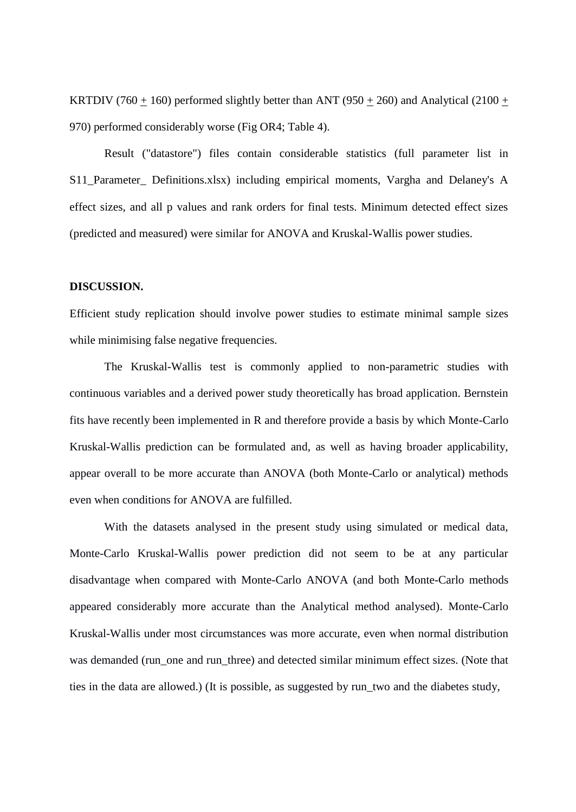KRTDIV (760 + 160) performed slightly better than ANT (950 + 260) and Analytical (2100 + 970) performed considerably worse (Fig OR4; Table 4).

Result ("datastore") files contain considerable statistics (full parameter list in S11\_Parameter\_ Definitions.xlsx) including empirical moments, Vargha and Delaney's A effect sizes, and all p values and rank orders for final tests. Minimum detected effect sizes (predicted and measured) were similar for ANOVA and Kruskal-Wallis power studies.

## **DISCUSSION.**

Efficient study replication should involve power studies to estimate minimal sample sizes while minimising false negative frequencies.

The Kruskal-Wallis test is commonly applied to non-parametric studies with continuous variables and a derived power study theoretically has broad application. Bernstein fits have recently been implemented in R and therefore provide a basis by which Monte-Carlo Kruskal-Wallis prediction can be formulated and, as well as having broader applicability, appear overall to be more accurate than ANOVA (both Monte-Carlo or analytical) methods even when conditions for ANOVA are fulfilled.

With the datasets analysed in the present study using simulated or medical data, Monte-Carlo Kruskal-Wallis power prediction did not seem to be at any particular disadvantage when compared with Monte-Carlo ANOVA (and both Monte-Carlo methods appeared considerably more accurate than the Analytical method analysed). Monte-Carlo Kruskal-Wallis under most circumstances was more accurate, even when normal distribution was demanded (run\_one and run\_three) and detected similar minimum effect sizes. (Note that ties in the data are allowed.) (It is possible, as suggested by run\_two and the diabetes study,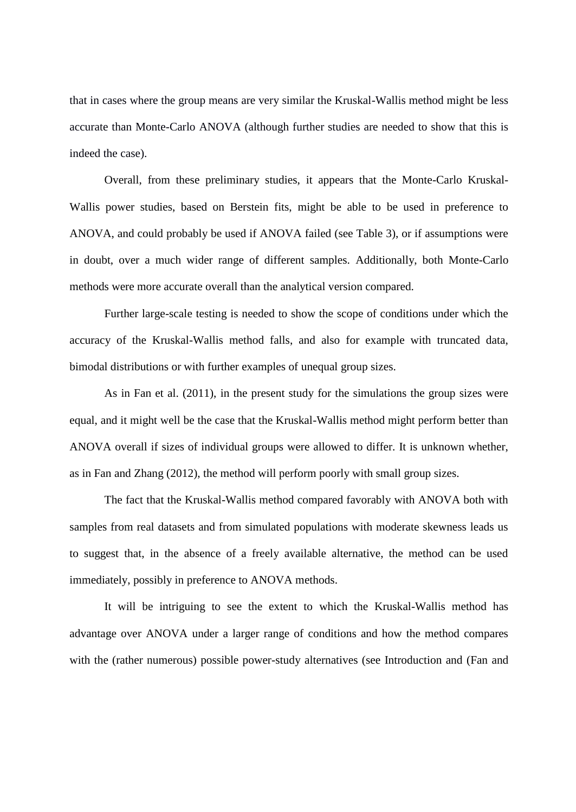that in cases where the group means are very similar the Kruskal-Wallis method might be less accurate than Monte-Carlo ANOVA (although further studies are needed to show that this is indeed the case).

Overall, from these preliminary studies, it appears that the Monte-Carlo Kruskal-Wallis power studies, based on Berstein fits, might be able to be used in preference to ANOVA, and could probably be used if ANOVA failed (see Table 3), or if assumptions were in doubt, over a much wider range of different samples. Additionally, both Monte-Carlo methods were more accurate overall than the analytical version compared.

Further large-scale testing is needed to show the scope of conditions under which the accuracy of the Kruskal-Wallis method falls, and also for example with truncated data, bimodal distributions or with further examples of unequal group sizes.

As in Fan et al. (2011), in the present study for the simulations the group sizes were equal, and it might well be the case that the Kruskal-Wallis method might perform better than ANOVA overall if sizes of individual groups were allowed to differ. It is unknown whether, as in Fan and Zhang (2012), the method will perform poorly with small group sizes.

The fact that the Kruskal-Wallis method compared favorably with ANOVA both with samples from real datasets and from simulated populations with moderate skewness leads us to suggest that, in the absence of a freely available alternative, the method can be used immediately, possibly in preference to ANOVA methods.

It will be intriguing to see the extent to which the Kruskal-Wallis method has advantage over ANOVA under a larger range of conditions and how the method compares with the (rather numerous) possible power-study alternatives (see Introduction and (Fan and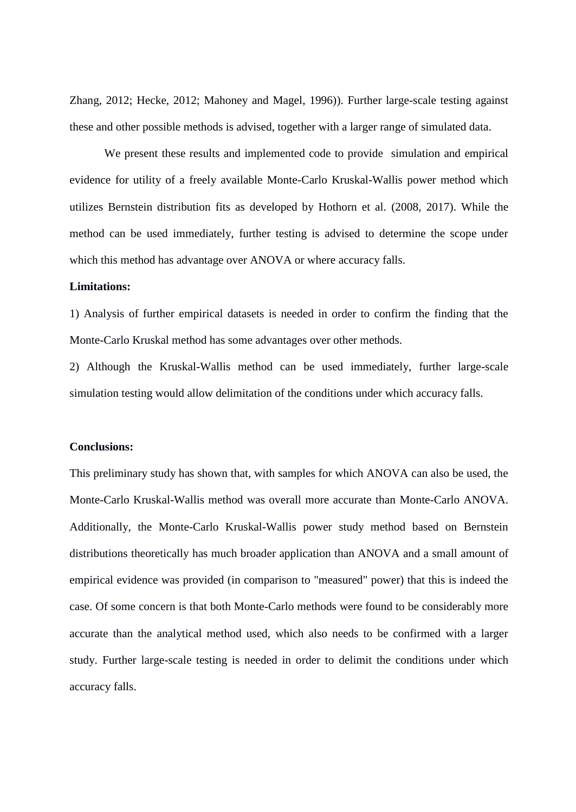Zhang, 2012; Hecke, 2012; Mahoney and Magel, 1996)). Further large-scale testing against these and other possible methods is advised, together with a larger range of simulated data.

We present these results and implemented code to provide simulation and empirical evidence for utility of a freely available Monte-Carlo Kruskal-Wallis power method which utilizes Bernstein distribution fits as developed by Hothorn et al. (2008, 2017). While the method can be used immediately, further testing is advised to determine the scope under which this method has advantage over ANOVA or where accuracy falls.

## **Limitations:**

1) Analysis of further empirical datasets is needed in order to confirm the finding that the Monte-Carlo Kruskal method has some advantages over other methods.

2) Although the Kruskal-Wallis method can be used immediately, further large-scale simulation testing would allow delimitation of the conditions under which accuracy falls.

#### **Conclusions:**

This preliminary study has shown that, with samples for which ANOVA can also be used, the Monte-Carlo Kruskal-Wallis method was overall more accurate than Monte-Carlo ANOVA. Additionally, the Monte-Carlo Kruskal-Wallis power study method based on Bernstein distributions theoretically has much broader application than ANOVA and a small amount of empirical evidence was provided (in comparison to "measured" power) that this is indeed the case. Of some concern is that both Monte-Carlo methods were found to be considerably more accurate than the analytical method used, which also needs to be confirmed with a larger study. Further large-scale testing is needed in order to delimit the conditions under which accuracy falls.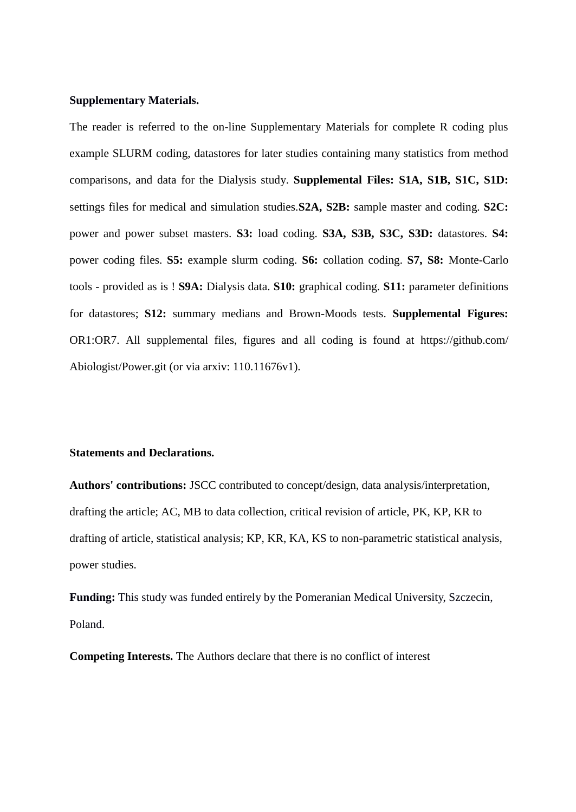#### **Supplementary Materials.**

The reader is referred to the on-line Supplementary Materials for complete R coding plus example SLURM coding, datastores for later studies containing many statistics from method comparisons, and data for the Dialysis study. **Supplemental Files: S1A, S1B, S1C, S1D:**  settings files for medical and simulation studies.**S2A, S2B:** sample master and coding. **S2C:**  power and power subset masters. **S3:** load coding. **S3A, S3B, S3C, S3D:** datastores. **S4:**  power coding files. **S5:** example slurm coding. **S6:** collation coding. **S7, S8:** Monte-Carlo tools - provided as is ! **S9A:** Dialysis data. **S10:** graphical coding. **S11:** parameter definitions for datastores; **S12:** summary medians and Brown-Moods tests. **Supplemental Figures:**  OR1:OR7. All supplemental files, figures and all coding is found at https://github.com/ Abiologist/Power.git (or via arxiv: 110.11676v1).

## **Statements and Declarations.**

**Authors' contributions:** JSCC contributed to concept/design, data analysis/interpretation, drafting the article; AC, MB to data collection, critical revision of article, PK, KP, KR to drafting of article, statistical analysis; KP, KR, KA, KS to non-parametric statistical analysis, power studies.

**Funding:** This study was funded entirely by the Pomeranian Medical University, Szczecin, Poland.

**Competing Interests.** The Authors declare that there is no conflict of interest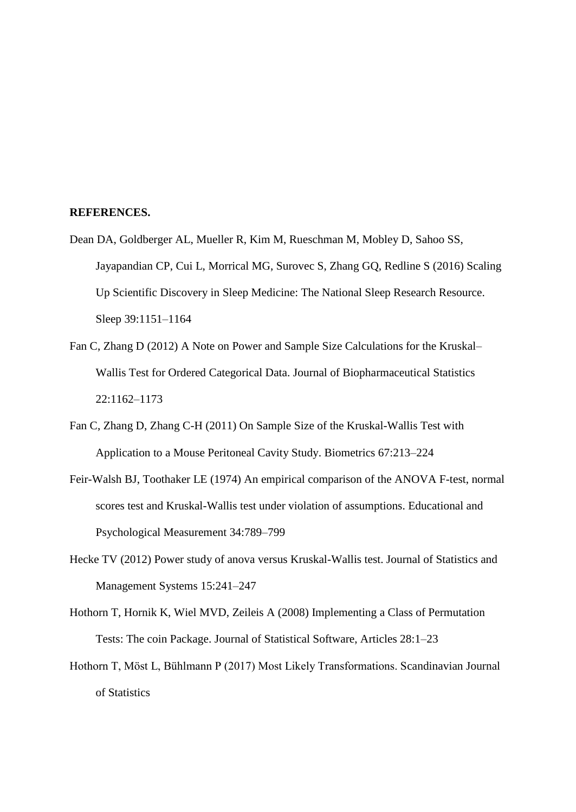#### **REFERENCES.**

- Dean DA, Goldberger AL, Mueller R, Kim M, Rueschman M, Mobley D, Sahoo SS, Jayapandian CP, Cui L, Morrical MG, Surovec S, Zhang GQ, Redline S (2016) Scaling Up Scientific Discovery in Sleep Medicine: The National Sleep Research Resource. Sleep 39:1151–1164
- Fan C, Zhang D (2012) A Note on Power and Sample Size Calculations for the Kruskal– Wallis Test for Ordered Categorical Data. Journal of Biopharmaceutical Statistics 22:1162–1173
- Fan C, Zhang D, Zhang C-H (2011) On Sample Size of the Kruskal-Wallis Test with Application to a Mouse Peritoneal Cavity Study. Biometrics 67:213–224
- Feir-Walsh BJ, Toothaker LE (1974) An empirical comparison of the ANOVA F-test, normal scores test and Kruskal-Wallis test under violation of assumptions. Educational and Psychological Measurement 34:789–799
- Hecke TV (2012) Power study of anova versus Kruskal-Wallis test. Journal of Statistics and Management Systems 15:241–247
- Hothorn T, Hornik K, Wiel MVD, Zeileis A (2008) Implementing a Class of Permutation Tests: The coin Package. Journal of Statistical Software, Articles 28:1–23
- Hothorn T, Möst L, Bühlmann P (2017) Most Likely Transformations. Scandinavian Journal of Statistics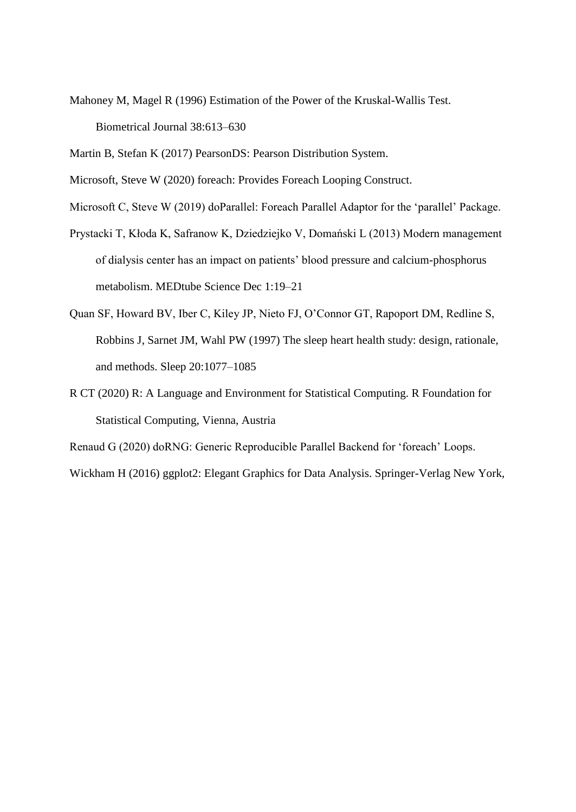Mahoney M, Magel R (1996) Estimation of the Power of the Kruskal-Wallis Test. Biometrical Journal 38:613–630

Martin B, Stefan K (2017) PearsonDS: Pearson Distribution System.

Microsoft, Steve W (2020) foreach: Provides Foreach Looping Construct.

Microsoft C, Steve W (2019) doParallel: Foreach Parallel Adaptor for the 'parallel' Package.

- Prystacki T, Kłoda K, Safranow K, Dziedziejko V, Domański L (2013) Modern management of dialysis center has an impact on patients' blood pressure and calcium-phosphorus metabolism. MEDtube Science Dec 1:19–21
- Quan SF, Howard BV, Iber C, Kiley JP, Nieto FJ, O'Connor GT, Rapoport DM, Redline S, Robbins J, Sarnet JM, Wahl PW (1997) The sleep heart health study: design, rationale, and methods. Sleep 20:1077–1085
- R CT (2020) R: A Language and Environment for Statistical Computing. R Foundation for Statistical Computing, Vienna, Austria

Renaud G (2020) doRNG: Generic Reproducible Parallel Backend for 'foreach' Loops. Wickham H (2016) ggplot2: Elegant Graphics for Data Analysis. Springer-Verlag New York,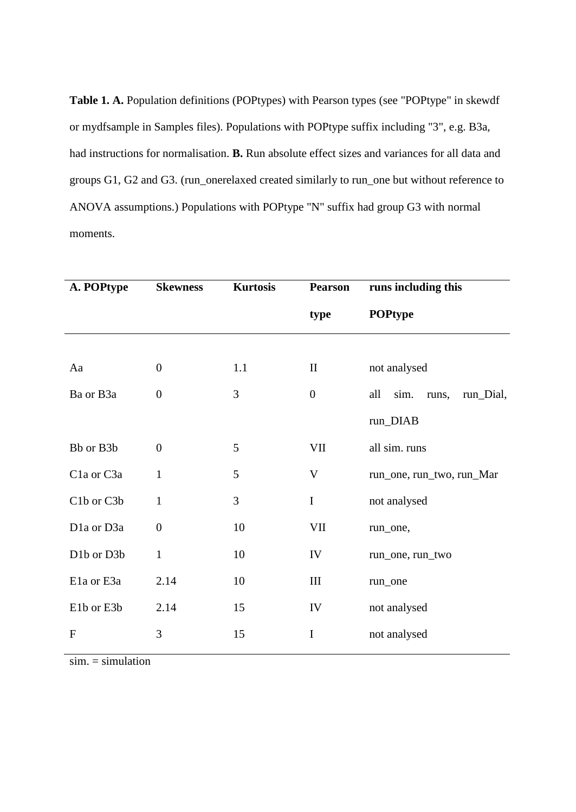Table 1. A. Population definitions (POPtypes) with Pearson types (see "POPtype" in skewdf or mydfsample in Samples files). Populations with POPtype suffix including "3", e.g. B3a, had instructions for normalisation. **B.** Run absolute effect sizes and variances for all data and groups G1, G2 and G3. (run\_onerelaxed created similarly to run\_one but without reference to ANOVA assumptions.) Populations with POPtype "N" suffix had group G3 with normal moments.

| A. POPtype   | <b>Skewness</b>  | <b>Kurtosis</b> | <b>Pearson</b>     | runs including this               |  |  |  |
|--------------|------------------|-----------------|--------------------|-----------------------------------|--|--|--|
|              |                  |                 | type               | <b>POPtype</b>                    |  |  |  |
|              |                  |                 |                    |                                   |  |  |  |
| Aa           | $\boldsymbol{0}$ | 1.1             | $\mathbf{I}$       | not analysed                      |  |  |  |
| Ba or B3a    | $\overline{0}$   | 3               | $\boldsymbol{0}$   | all<br>sim.<br>run_Dial,<br>runs, |  |  |  |
|              |                  |                 |                    | run_DIAB                          |  |  |  |
| Bb or B3b    | $\overline{0}$   | 5               | VII                | all sim. runs                     |  |  |  |
| Cla or C3a   | $\mathbf{1}$     | 5               | $\mathbf{V}$       | run_one, run_two, run_Mar         |  |  |  |
| C1b or C3b   | $\mathbf{1}$     | 3               | $\mathbf I$        | not analysed                      |  |  |  |
| D1a or D3a   | $\boldsymbol{0}$ | 10              | VII                | run_one,                          |  |  |  |
| D1b or D3b   | $\mathbf{1}$     | 10              | IV                 | run_one, run_two                  |  |  |  |
| E1a or E3a   | 2.14             | 10              | $\mathop{\rm III}$ | run_one                           |  |  |  |
| E1b or E3b   | 2.14             | 15              | IV                 | not analysed                      |  |  |  |
| $\mathbf{F}$ | 3                | 15              | $\mathbf I$        | not analysed                      |  |  |  |

 $sim =$  simulation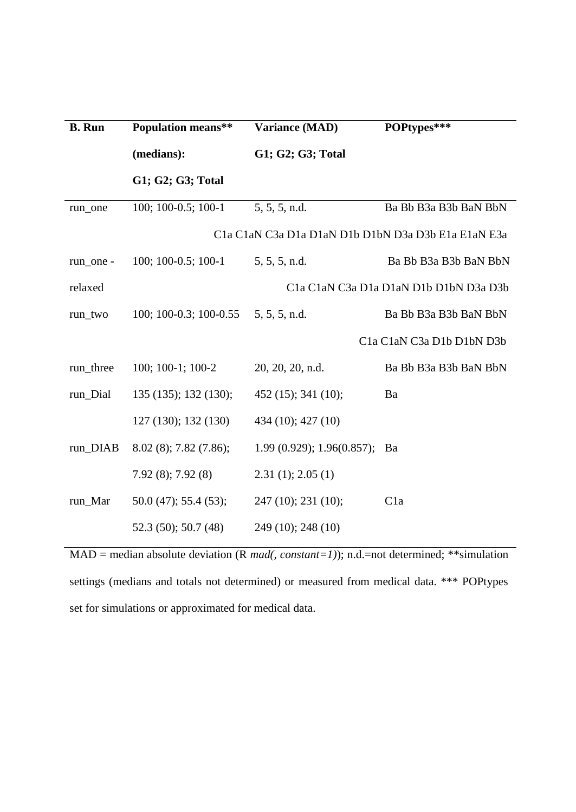| <b>B.</b> Run | <b>Population means**</b>                                                                                                                                                                                      | <b>Variance (MAD)</b>     | POPtypes***                                                                                                                                                 |  |  |  |  |
|---------------|----------------------------------------------------------------------------------------------------------------------------------------------------------------------------------------------------------------|---------------------------|-------------------------------------------------------------------------------------------------------------------------------------------------------------|--|--|--|--|
|               | (medians):                                                                                                                                                                                                     | G1; G2; G3; Total         |                                                                                                                                                             |  |  |  |  |
|               | G1; G2; G3; Total                                                                                                                                                                                              |                           |                                                                                                                                                             |  |  |  |  |
| run_one       | 100; 100-0.5; 100-1                                                                                                                                                                                            | 5, 5, 5, n.d.             | Ba Bb B3a B3b BaN BbN                                                                                                                                       |  |  |  |  |
|               | C <sub>1</sub> a C <sub>1</sub> aN C <sub>3</sub> a D <sub>1</sub> a D <sub>1</sub> aN D <sub>1</sub> b D <sub>1</sub> bN D <sub>3</sub> a D <sub>3</sub> b E <sub>1</sub> a E <sub>1</sub> aN E <sub>3a</sub> |                           |                                                                                                                                                             |  |  |  |  |
| run_one -     | $100; 100-0.5; 100-1$                                                                                                                                                                                          | 5, 5, 5, n.d.             | Ba Bb B3a B3b BaN BbN                                                                                                                                       |  |  |  |  |
| relaxed       |                                                                                                                                                                                                                |                           | C <sub>1</sub> a C <sub>1</sub> aN C <sub>3</sub> a D <sub>1</sub> a D <sub>1</sub> aN D <sub>1</sub> b D <sub>1</sub> bN D <sub>3</sub> a D <sub>3</sub> b |  |  |  |  |
| run_two       | $100; 100-0.3; 100-0.55$                                                                                                                                                                                       | 5, 5, 5, n.d.             | Ba Bb B3a B3b BaN BbN                                                                                                                                       |  |  |  |  |
|               |                                                                                                                                                                                                                |                           | C1a C1aN C3a D1b D1bN D3b                                                                                                                                   |  |  |  |  |
| run_three     | 100; 100-1; 100-2                                                                                                                                                                                              | 20, 20, 20, n.d.          | Ba Bb B3a B3b BaN BbN                                                                                                                                       |  |  |  |  |
| run_Dial      | 135 (135); 132 (130);                                                                                                                                                                                          | $452(15)$ ; 341 (10);     | Ba                                                                                                                                                          |  |  |  |  |
|               | 127 (130); 132 (130)                                                                                                                                                                                           | 434 (10); 427 (10)        |                                                                                                                                                             |  |  |  |  |
| run_DIAB      | $8.02(8)$ ; 7.82 (7.86);                                                                                                                                                                                       | 1.99(0.929); 1.96(0.857); | Ba                                                                                                                                                          |  |  |  |  |
|               | $7.92(8)$ ; $7.92(8)$                                                                                                                                                                                          | 2.31(1); 2.05(1)          |                                                                                                                                                             |  |  |  |  |
| run_Mar       | $50.0(47)$ ; 55.4 (53);                                                                                                                                                                                        | 247(10); 231(10);         | C1a                                                                                                                                                         |  |  |  |  |
|               | 52.3 (50); 50.7 (48)                                                                                                                                                                                           | 249 (10); 248 (10)        |                                                                                                                                                             |  |  |  |  |

MAD = median absolute deviation (R *mad(, constant=1)*); n.d.=not determined; \*\*simulation settings (medians and totals not determined) or measured from medical data. \*\*\* POPtypes set for simulations or approximated for medical data.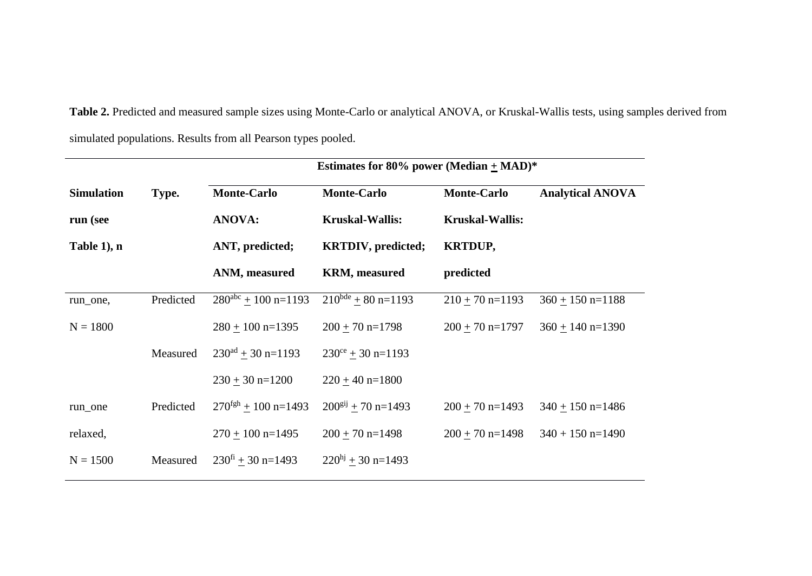**Table 2.** Predicted and measured sample sizes using Monte-Carlo or analytical ANOVA, or Kruskal-Wallis tests, using samples derived from simulated populations. Results from all Pearson types pooled.

|                            |           | Estimates for 80% power (Median $\pm$ MAD)* |                            |                        |                         |  |  |
|----------------------------|-----------|---------------------------------------------|----------------------------|------------------------|-------------------------|--|--|
| <b>Simulation</b><br>Type. |           | <b>Monte-Carlo</b>                          | <b>Monte-Carlo</b>         | <b>Monte-Carlo</b>     | <b>Analytical ANOVA</b> |  |  |
| run (see                   |           | <b>ANOVA:</b>                               | <b>Kruskal-Wallis:</b>     | <b>Kruskal-Wallis:</b> |                         |  |  |
| Table 1), n                |           | ANT, predicted;                             | <b>KRTDIV</b> , predicted; | <b>KRTDUP,</b>         |                         |  |  |
|                            |           | ANM, measured                               | <b>KRM</b> , measured      | predicted              |                         |  |  |
| run_one,                   | Predicted | $280^{\text{abc}} + 100 \text{ n} = 1193$   | $210^{bde} + 80 n=1193$    | $210 \pm 70$ n=1193    | $360 \pm 150$ n=1188    |  |  |
| $N = 1800$                 |           | $280 + 100$ n=1395                          | $200 + 70$ n=1798          | $200 + 70$ n=1797      | $360 + 140$ n=1390      |  |  |
|                            | Measured  | $230^{ad} + 30$ n=1193                      | $230^{\circ}$ + 30 n=1193  |                        |                         |  |  |
|                            |           | $230 + 30$ n=1200                           | $220 + 40$ n=1800          |                        |                         |  |  |
| run_one                    | Predicted | $270^{\text{fgh}} + 100 \text{ n} = 1493$   | $200^{gij} + 70 n=1493$    | $200 + 70$ n=1493      | $340 + 150$ n=1486      |  |  |
| relaxed,                   |           | $270 + 100$ n=1495                          | $200 + 70$ n=1498          | $200 + 70$ n=1498      | $340 + 150$ n=1490      |  |  |
| $N = 1500$                 | Measured  | $230^{\text{fi}}$ + 30 n=1493               | $220hj + 30$ n=1493        |                        |                         |  |  |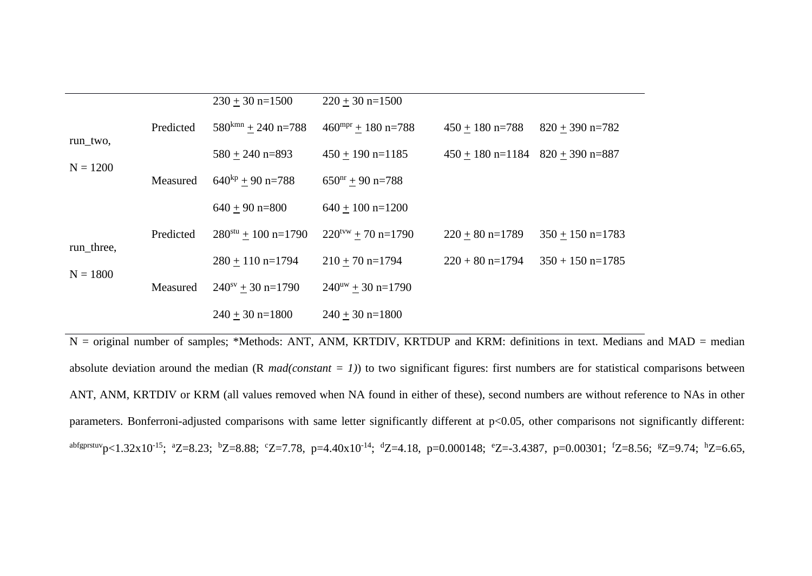|                          |           | $230 + 30$ n=1500                | $220 + 30$ n=1500                        |                    |                    |
|--------------------------|-----------|----------------------------------|------------------------------------------|--------------------|--------------------|
| run_two,<br>$N = 1200$   | Predicted | $580$ <sup>kmn</sup> + 240 n=788 | $460$ <sup>mpr</sup> + 180 n=788         | $450 + 180$ n=788  | $820 + 390$ n=782  |
|                          |           | $580 + 240$ n=893                | $450 + 190$ n=1185                       | $450 + 180$ n=1184 |                    |
|                          | Measured  | $640^{kp} + 90 n = 788$          | $650nr + 90 n = 788$                     |                    |                    |
|                          |           | $640 + 90$ n=800                 | $640 + 100$ n=1200                       |                    |                    |
| run_three,<br>$N = 1800$ | Predicted | $280^{stu} + 100$ n=1790         | $220^{\text{tvw}} + 70 \text{ n} = 1790$ | $220 + 80$ n=1789  | $350 + 150$ n=1783 |
|                          |           | $280 + 110$ n=1794               | $210 + 70$ n=1794                        | $220 + 80$ n=1794  | $350 + 150$ n=1785 |
|                          | Measured  | $240^{sv} + 30$ n=1790           | $240^{\text{uw}} + 30 \text{ n} = 1790$  |                    |                    |
|                          |           | $240 + 30$ n=1800                | $240 + 30$ n=1800                        |                    |                    |

 $N =$  original number of samples; \*Methods: ANT, ANM, KRTDIV, KRTDUP and KRM: definitions in text. Medians and MAD = median absolute deviation around the median (R *mad(constant = 1)*) to two significant figures: first numbers are for statistical comparisons between ANT, ANM, KRTDIV or KRM (all values removed when NA found in either of these), second numbers are without reference to NAs in other parameters. Bonferroni-adjusted comparisons with same letter significantly different at p<0.05, other comparisons not significantly different: abfgprstuvp<1.32x10<sup>-15</sup>; <sup>a</sup>Z=8.23; <sup>b</sup>Z=8.88; <sup>c</sup>Z=7.78, p=4.40x10<sup>-14</sup>; <sup>d</sup>Z=4.18, p=0.000148; <sup>e</sup>Z=-3.4387, p=0.00301; <sup>f</sup>Z=8.56; <sup>g</sup>Z=9.74; <sup>h</sup>Z=6.65,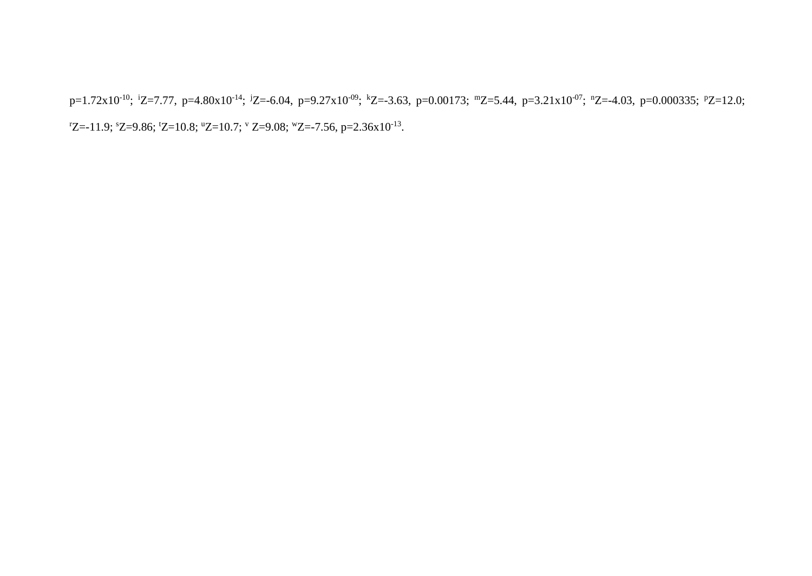p=1.72x10<sup>-10</sup>; <sup>i</sup>Z=7.77, p=4.80x10<sup>-14</sup>; <sup>j</sup>Z=-6.04, p=9.27x10<sup>-09</sup>; <sup>k</sup>Z=-3.63, p=0.00173; <sup>m</sup>Z=5.44, p=3.21x10<sup>-07</sup>; <sup>n</sup>Z=-4.03, p=0.000335; <sup>p</sup>Z=12.0;  $Z = -11.9$ ;  $Z = 9.86$ ;  $Z = 10.8$ ;  $Z = 10.7$ ;  $Z = 9.08$ ;  $Z = -7.56$ ,  $p = 2.36 \times 10^{-13}$ .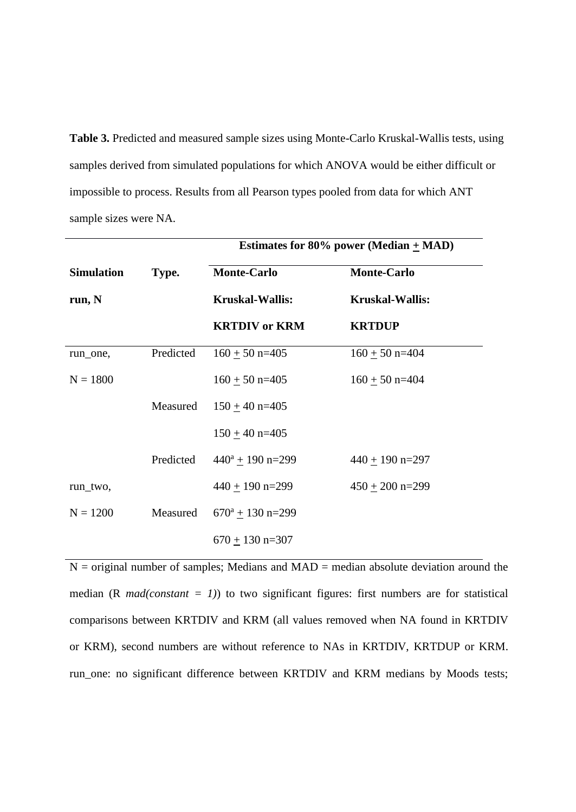**Table 3.** Predicted and measured sample sizes using Monte-Carlo Kruskal-Wallis tests, using samples derived from simulated populations for which ANOVA would be either difficult or impossible to process. Results from all Pearson types pooled from data for which ANT sample sizes were NA.

|                   |           | Estimates for 80% power (Median $\pm$ MAD) |                        |  |  |
|-------------------|-----------|--------------------------------------------|------------------------|--|--|
| <b>Simulation</b> | Type.     | <b>Monte-Carlo</b>                         | <b>Monte-Carlo</b>     |  |  |
| run, N            |           | <b>Kruskal-Wallis:</b>                     | <b>Kruskal-Wallis:</b> |  |  |
|                   |           | <b>KRTDIV</b> or <b>KRM</b>                | <b>KRTDUP</b>          |  |  |
| run_one,          | Predicted | $160 + 50$ n=405                           | $160 + 50$ n=404       |  |  |
| $N = 1800$        |           | $160 \pm 50$ n=405                         | $160 \pm 50$ n=404     |  |  |
|                   | Measured  | $150 + 40$ n=405                           |                        |  |  |
|                   |           | $150 + 40$ n=405                           |                        |  |  |
|                   | Predicted | $440^a + 190$ n=299                        | $440 + 190$ n=297      |  |  |
| run_two,          |           | $440 + 190$ n=299                          | $450 + 200$ n=299      |  |  |
| $N = 1200$        | Measured  | $670^a \pm 130$ n=299                      |                        |  |  |
|                   |           | $670 + 130$ n=307                          |                        |  |  |

 $N =$  original number of samples; Medians and  $MAD =$  median absolute deviation around the median (R  $mad(constant = 1)$ ) to two significant figures: first numbers are for statistical comparisons between KRTDIV and KRM (all values removed when NA found in KRTDIV or KRM), second numbers are without reference to NAs in KRTDIV, KRTDUP or KRM. run\_one: no significant difference between KRTDIV and KRM medians by Moods tests;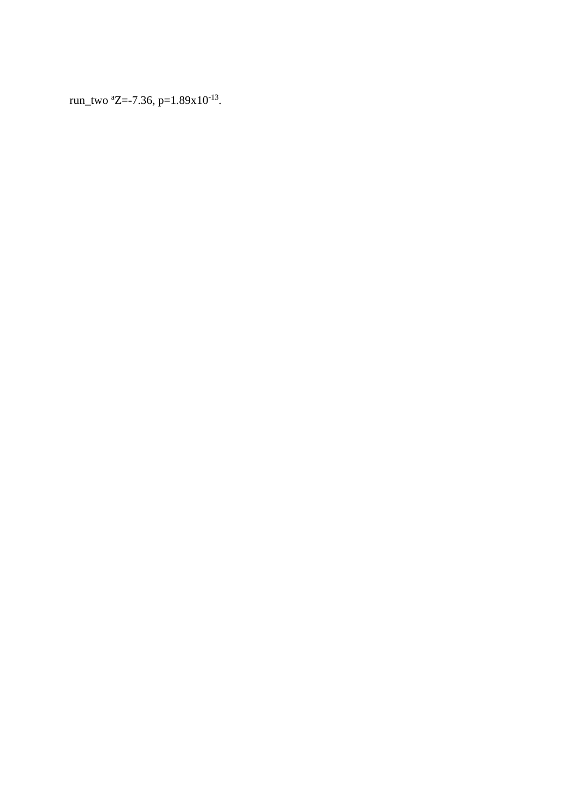run\_two  $^{\text{a}}$ Z=-7.36, p=1.89x10<sup>-13</sup>.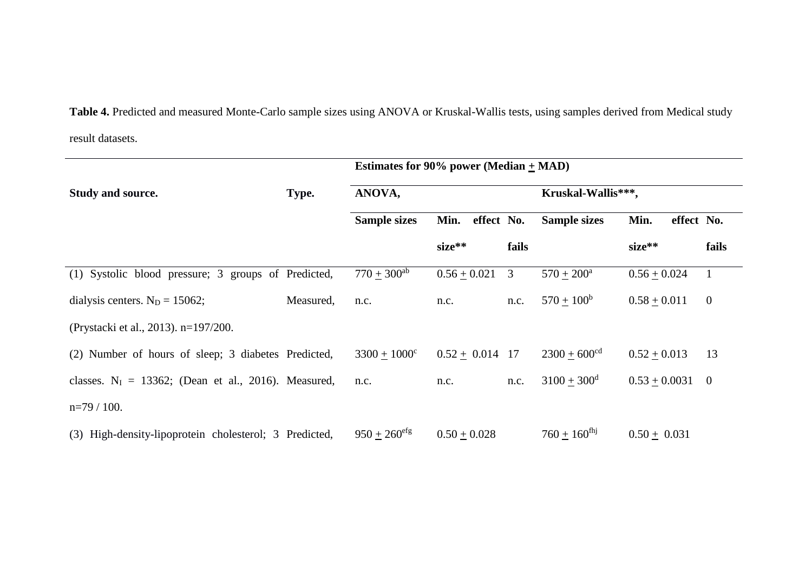**Table 4.** Predicted and measured Monte-Carlo sample sizes using ANOVA or Kruskal-Wallis tests, using samples derived from Medical study result datasets.

|                                                         |           | Estimates for 90% power (Median $\pm$ MAD) |                    |       |                            |                    |                |
|---------------------------------------------------------|-----------|--------------------------------------------|--------------------|-------|----------------------------|--------------------|----------------|
| <b>Study and source.</b>                                | Type.     | ANOVA,                                     |                    |       | Kruskal-Wallis***,         |                    |                |
|                                                         |           | <b>Sample sizes</b>                        | effect No.<br>Min. |       | <b>Sample sizes</b>        | effect No.<br>Min. |                |
|                                                         |           |                                            | $size**$           | fails |                            | $size**$           | fails          |
| (1) Systolic blood pressure; 3 groups of Predicted,     |           | $770 \pm 300^{ab}$                         | $0.56 + 0.021$     | 3     | $570 + 200^{\rm a}$        | $0.56 + 0.024$     | $\mathbf{1}$   |
| dialysis centers. $N_D = 15062$ ;                       | Measured, | n.c.                                       | n.c.               | n.c.  | $570 + 100^b$              | $0.58 + 0.011$     | $\overline{0}$ |
| (Prystacki et al., 2013). n=197/200.                    |           |                                            |                    |       |                            |                    |                |
| (2) Number of hours of sleep; 3 diabetes Predicted,     |           | $3300 + 1000^{\circ}$                      | $0.52 + 0.014$ 17  |       | $2300 + 600$ <sup>cd</sup> | $0.52 + 0.013$     | 13             |
| classes. $N_I = 13362$ ; (Dean et al., 2016). Measured, |           | n.c.                                       | n.c.               | n.c.  | $3100 + 300^{\rm d}$       | $0.53 + 0.0031$    | $\overline{0}$ |
| $n=79/100$ .                                            |           |                                            |                    |       |                            |                    |                |
| (3) High-density-lipoprotein cholesterol; 3 Predicted,  |           | $950 + 260$ <sup>efg</sup>                 | $0.50 + 0.028$     |       | $760 + 160^{\text{fhj}}$   | $0.50 + 0.031$     |                |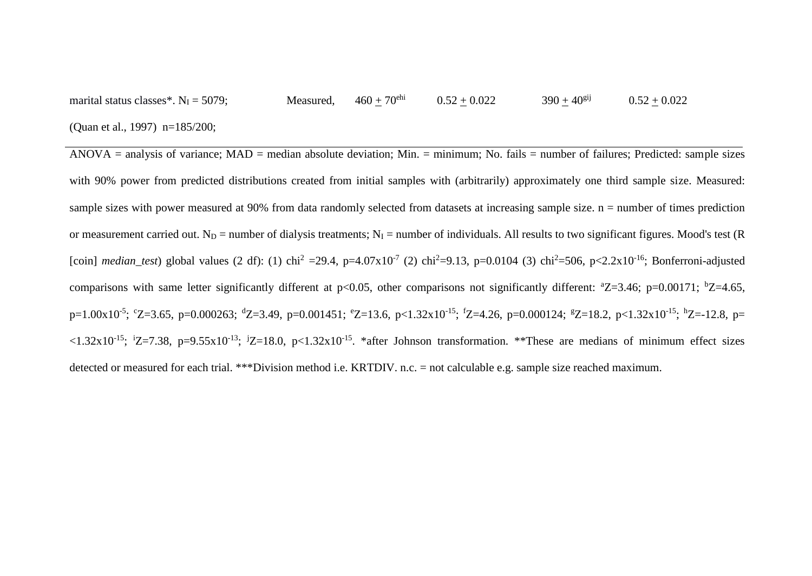marital status classes\*.  $N_I = 5079$ ; (Quan et al., 1997) n=185/200; Measured,  $460 + 70^{ehi}$   $0.52 + 0.022$   $390 + 40^{gij}$   $0.52 + 0.022$ 

ANOVA = analysis of variance; MAD = median absolute deviation; Min. = minimum; No. fails = number of failures; Predicted: sample sizes with 90% power from predicted distributions created from initial samples with (arbitrarily) approximately one third sample size. Measured: sample sizes with power measured at 90% from data randomly selected from datasets at increasing sample size. n = number of times prediction or measurement carried out. N<sub>D</sub> = number of dialysis treatments; N<sub>I</sub> = number of individuals. All results to two significant figures. Mood's test (R) [coin] *median\_test*) global values (2 df): (1) chi<sup>2</sup> =29.4, p=4.07x10<sup>-7</sup> (2) chi<sup>2</sup>=9.13, p=0.0104 (3) chi<sup>2</sup>=506, p<2.2x10<sup>-16</sup>; Bonferroni-adjusted comparisons with same letter significantly different at  $p<0.05$ , other comparisons not significantly different:  $^{\circ}Z=3.46$ ;  $p=0.00171$ ;  $^{\circ}Z=4.65$ , p=1.00x10<sup>-5</sup>; °Z=3.65, p=0.000263; <sup>d</sup>Z=3.49, p=0.001451; °Z=13.6, p<1.32x10<sup>-15</sup>; <sup>f</sup>Z=4.26, p=0.000124; <sup>g</sup>Z=18.2, p<1.32x10<sup>-15</sup>; <sup>h</sup>Z=-12.8, p=  $\lt 1.32 \times 10^{-15}$ ;  $\frac{1}{2}$  =7.38, p=9.55x10<sup>-13</sup>;  $\frac{1}{2}$ =18.0, p $\lt 1.32 \times 10^{-15}$ . \*after Johnson transformation. \*\*These are medians of minimum effect sizes detected or measured for each trial. \*\*\*Division method i.e. KRTDIV. n.c. = not calculable e.g. sample size reached maximum.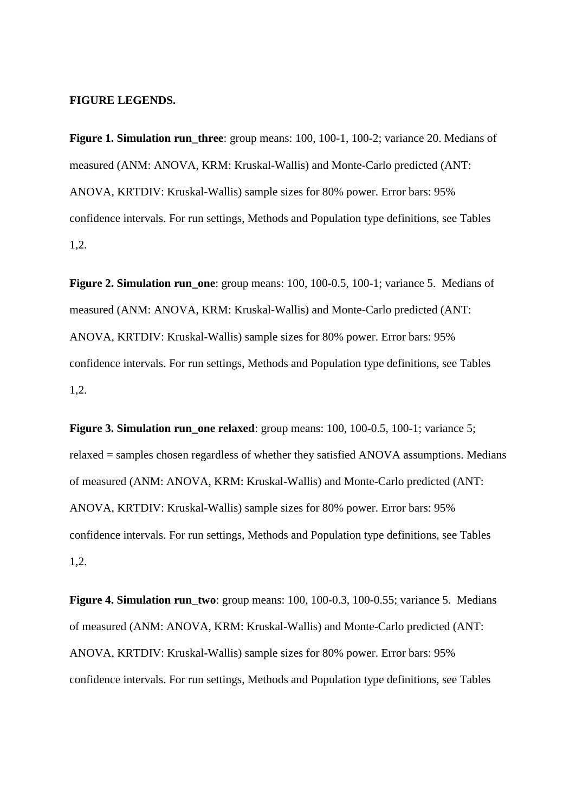#### **FIGURE LEGENDS.**

**Figure 1. Simulation run** three: group means: 100, 100-1, 100-2; variance 20. Medians of measured (ANM: ANOVA, KRM: Kruskal-Wallis) and Monte-Carlo predicted (ANT: ANOVA, KRTDIV: Kruskal-Wallis) sample sizes for 80% power. Error bars: 95% confidence intervals. For run settings, Methods and Population type definitions, see Tables 1,2.

**Figure 2. Simulation run\_one**: group means: 100, 100-0.5, 100-1; variance 5. Medians of measured (ANM: ANOVA, KRM: Kruskal-Wallis) and Monte-Carlo predicted (ANT: ANOVA, KRTDIV: Kruskal-Wallis) sample sizes for 80% power. Error bars: 95% confidence intervals. For run settings, Methods and Population type definitions, see Tables 1,2.

**Figure 3. Simulation run\_one relaxed**: group means: 100, 100-0.5, 100-1; variance 5; relaxed = samples chosen regardless of whether they satisfied ANOVA assumptions. Medians of measured (ANM: ANOVA, KRM: Kruskal-Wallis) and Monte-Carlo predicted (ANT: ANOVA, KRTDIV: Kruskal-Wallis) sample sizes for 80% power. Error bars: 95% confidence intervals. For run settings, Methods and Population type definitions, see Tables 1,2.

**Figure 4. Simulation run\_two**: group means: 100, 100-0.3, 100-0.55; variance 5. Medians of measured (ANM: ANOVA, KRM: Kruskal-Wallis) and Monte-Carlo predicted (ANT: ANOVA, KRTDIV: Kruskal-Wallis) sample sizes for 80% power. Error bars: 95% confidence intervals. For run settings, Methods and Population type definitions, see Tables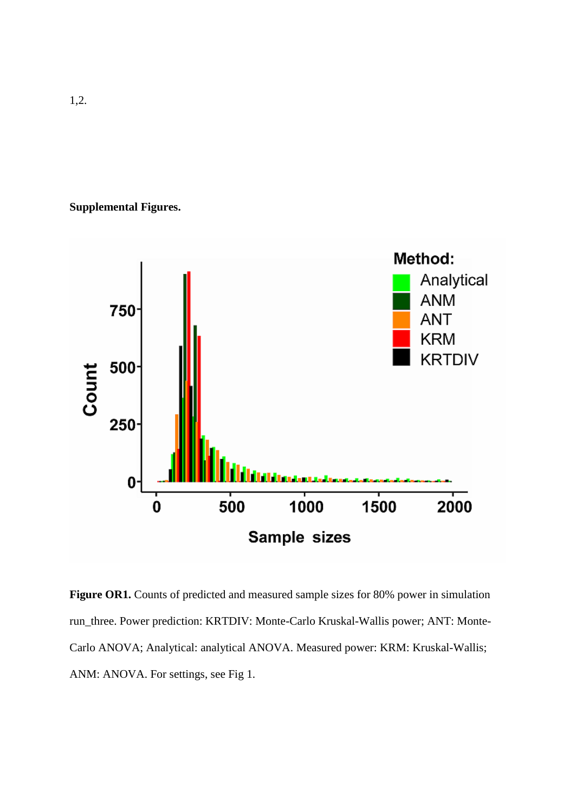# **Supplemental Figures.**



Figure OR1. Counts of predicted and measured sample sizes for 80% power in simulation run\_three. Power prediction: KRTDIV: Monte-Carlo Kruskal-Wallis power; ANT: Monte-Carlo ANOVA; Analytical: analytical ANOVA. Measured power: KRM: Kruskal-Wallis; ANM: ANOVA. For settings, see Fig 1.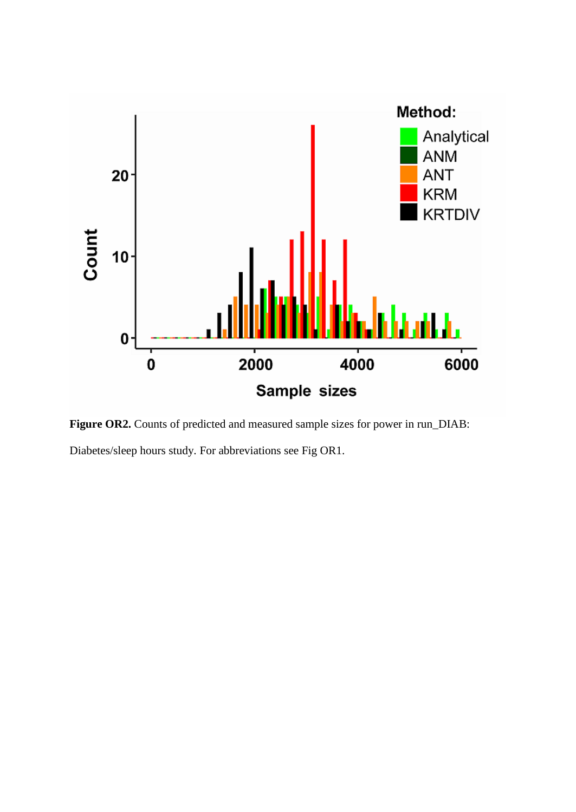

Figure OR2. Counts of predicted and measured sample sizes for power in run\_DIAB: Diabetes/sleep hours study. For abbreviations see Fig OR1.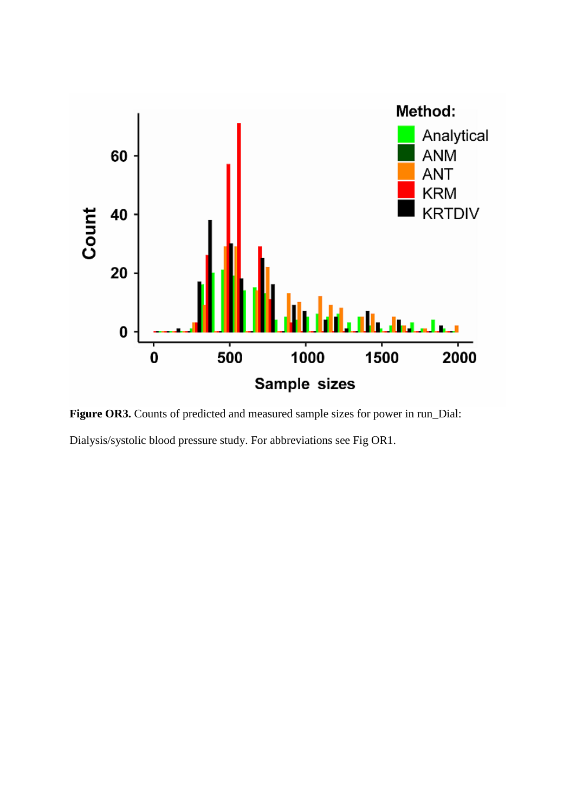

Figure OR3. Counts of predicted and measured sample sizes for power in run\_Dial: Dialysis/systolic blood pressure study. For abbreviations see Fig OR1.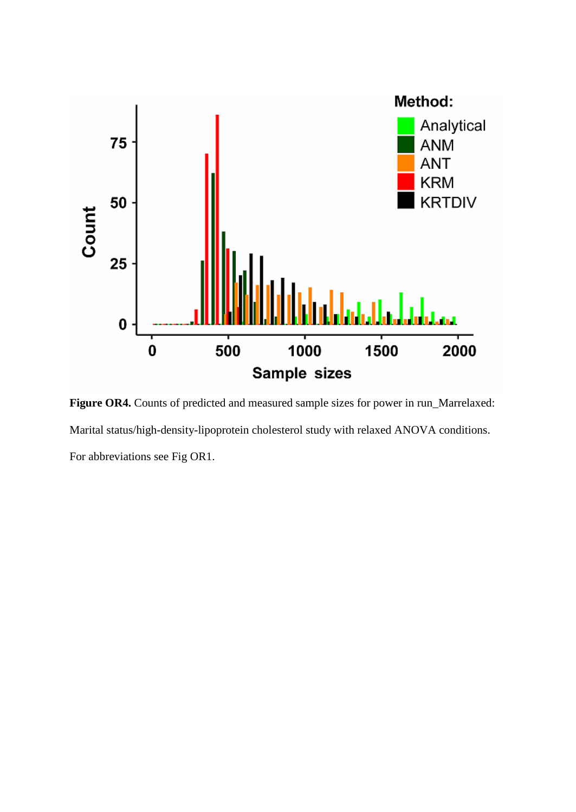

Figure OR4. Counts of predicted and measured sample sizes for power in run\_Marrelaxed: Marital status/high-density-lipoprotein cholesterol study with relaxed ANOVA conditions. For abbreviations see Fig OR1.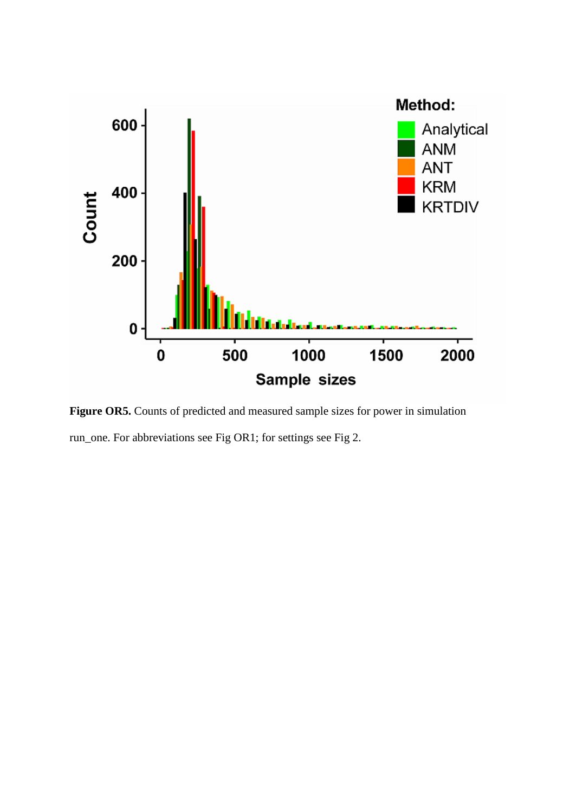

Figure OR5. Counts of predicted and measured sample sizes for power in simulation run\_one. For abbreviations see Fig OR1; for settings see Fig 2.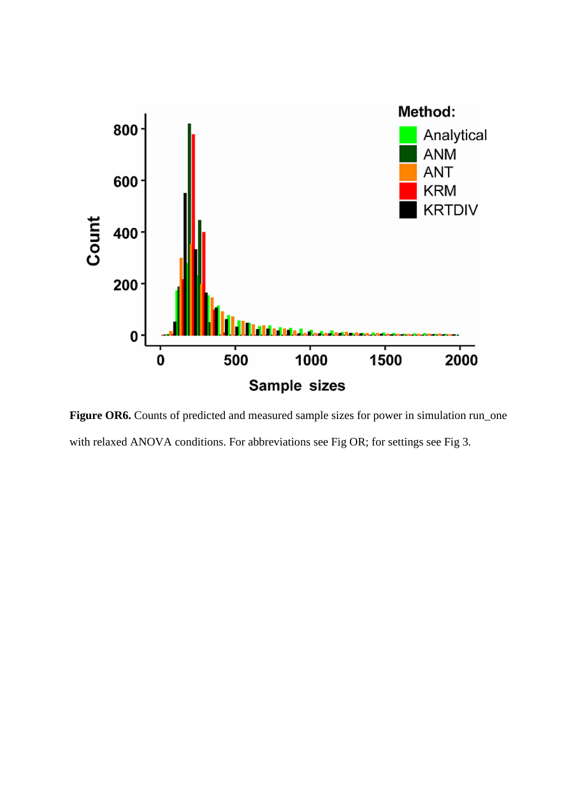

Figure OR6. Counts of predicted and measured sample sizes for power in simulation run\_one with relaxed ANOVA conditions. For abbreviations see Fig OR; for settings see Fig 3.